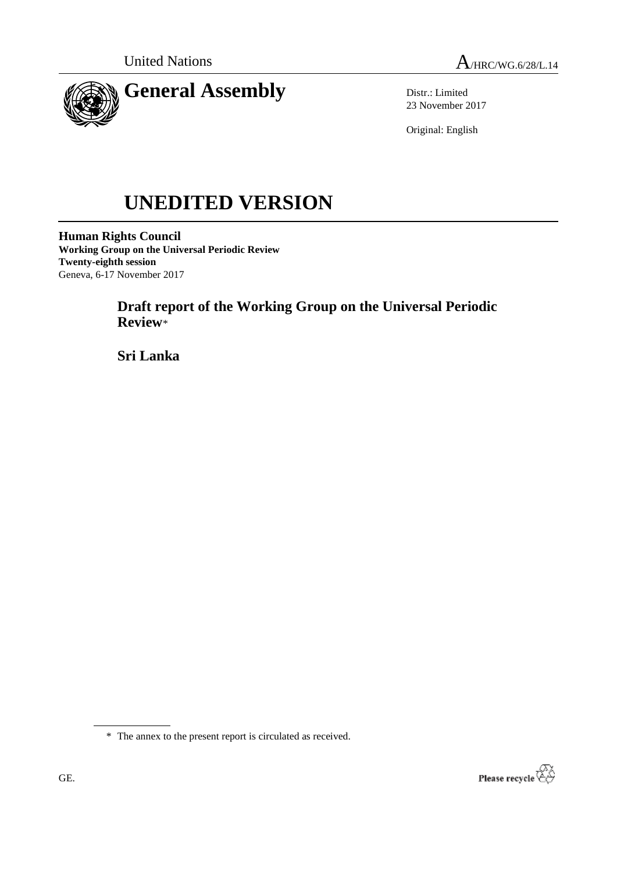

Distr.: Limited 23 November 2017

Original: English

# **UNEDITED VERSION**

**Human Rights Council Working Group on the Universal Periodic Review Twenty-eighth session** Geneva, 6-17 November 2017

> **Draft report of the Working Group on the Universal Periodic Review**\*

**Sri Lanka**

\* The annex to the present report is circulated as received.

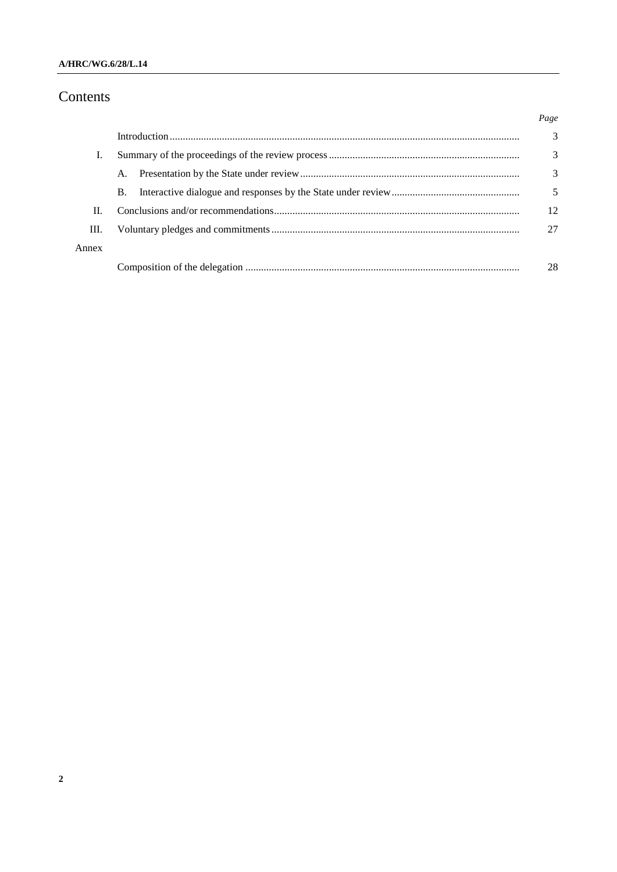## A/HRC/WG.6/28/L.14

# Contents

|       |           | Page          |
|-------|-----------|---------------|
|       |           | $\mathcal{R}$ |
| L     |           | 3             |
|       | A.        | 3             |
|       | <b>B.</b> | 5             |
| H.    |           | 12            |
| Ш.    |           | 27            |
| Annex |           |               |
|       |           | 28            |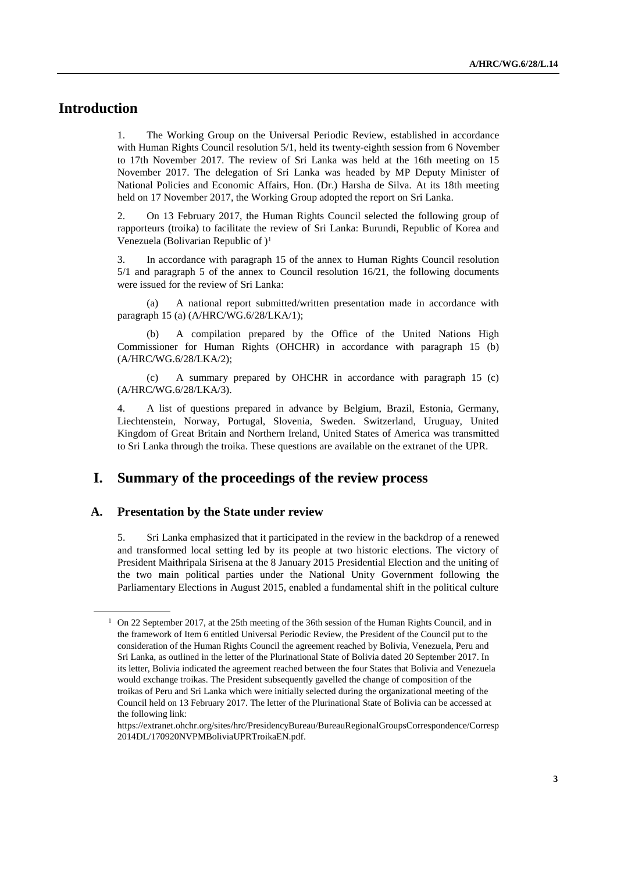## **Introduction**

1. The Working Group on the Universal Periodic Review, established in accordance with Human Rights Council resolution 5/1, held its twenty-eighth session from 6 November to 17th November 2017. The review of Sri Lanka was held at the 16th meeting on 15 November 2017. The delegation of Sri Lanka was headed by MP Deputy Minister of National Policies and Economic Affairs, Hon. (Dr.) Harsha de Silva. At its 18th meeting held on 17 November 2017, the Working Group adopted the report on Sri Lanka.

2. On 13 February 2017, the Human Rights Council selected the following group of rapporteurs (troika) to facilitate the review of Sri Lanka: Burundi, Republic of Korea and Venezuela (Bolivarian Republic of )<sup>1</sup>

3. In accordance with paragraph 15 of the annex to Human Rights Council resolution 5/1 and paragraph 5 of the annex to Council resolution 16/21, the following documents were issued for the review of Sri Lanka:

(a) A national report submitted/written presentation made in accordance with paragraph 15 (a) (A/HRC/WG.6/28/LKA/1);

A compilation prepared by the Office of the United Nations High Commissioner for Human Rights (OHCHR) in accordance with paragraph 15 (b) (A/HRC/WG.6/28/LKA/2);

(c) A summary prepared by OHCHR in accordance with paragraph 15 (c) (A/HRC/WG.6/28/LKA/3).

4. A list of questions prepared in advance by Belgium, Brazil, Estonia, Germany, Liechtenstein, Norway, Portugal, Slovenia, Sweden. Switzerland, Uruguay, United Kingdom of Great Britain and Northern Ireland, United States of America was transmitted to Sri Lanka through the troika. These questions are available on the extranet of the UPR.

## **I. Summary of the proceedings of the review process**

#### **A. Presentation by the State under review**

5. Sri Lanka emphasized that it participated in the review in the backdrop of a renewed and transformed local setting led by its people at two historic elections. The victory of President Maithripala Sirisena at the 8 January 2015 Presidential Election and the uniting of the two main political parties under the National Unity Government following the Parliamentary Elections in August 2015, enabled a fundamental shift in the political culture

 $1$  On 22 September 2017, at the 25th meeting of the 36th session of the Human Rights Council, and in the framework of Item 6 entitled Universal Periodic Review, the President of the Council put to the consideration of the Human Rights Council the agreement reached by Bolivia, Venezuela, Peru and Sri Lanka, as outlined in the letter of the Plurinational State of Bolivia dated 20 September 2017. In its letter, Bolivia indicated the agreement reached between the four States that Bolivia and Venezuela would exchange troikas. The President subsequently gavelled the change of composition of the troikas of Peru and Sri Lanka which were initially selected during the organizational meeting of the Council held on 13 February 2017. The letter of the Plurinational State of Bolivia can be accessed at the following link:

https://extranet.ohchr.org/sites/hrc/PresidencyBureau/BureauRegionalGroupsCorrespondence/Corresp 2014DL/170920NVPMBoliviaUPRTroikaEN.pdf.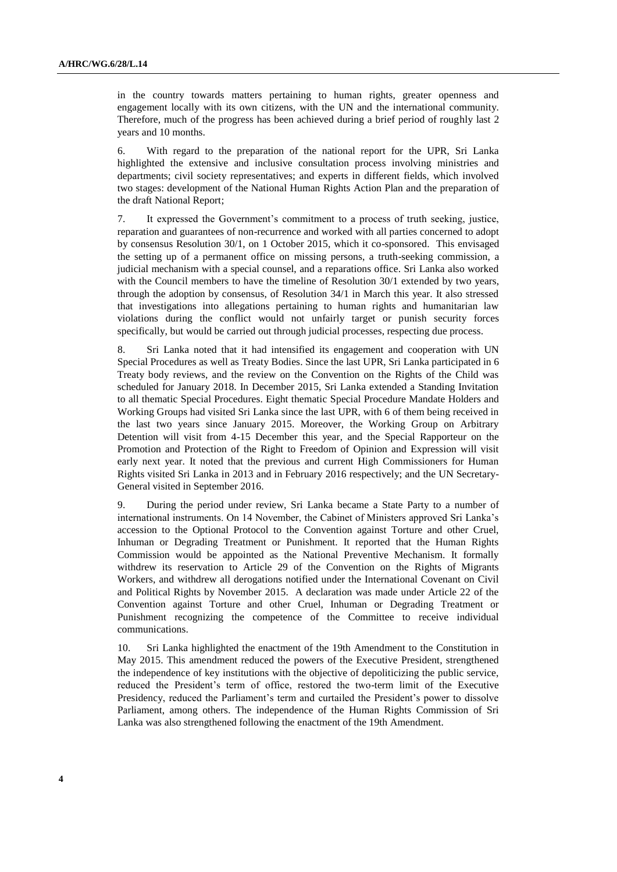in the country towards matters pertaining to human rights, greater openness and engagement locally with its own citizens, with the UN and the international community. Therefore, much of the progress has been achieved during a brief period of roughly last 2 years and 10 months.

6. With regard to the preparation of the national report for the UPR, Sri Lanka highlighted the extensive and inclusive consultation process involving ministries and departments; civil society representatives; and experts in different fields, which involved two stages: development of the National Human Rights Action Plan and the preparation of the draft National Report;

7. It expressed the Government's commitment to a process of truth seeking, justice, reparation and guarantees of non-recurrence and worked with all parties concerned to adopt by consensus Resolution 30/1, on 1 October 2015, which it co-sponsored. This envisaged the setting up of a permanent office on missing persons, a truth-seeking commission, a judicial mechanism with a special counsel, and a reparations office. Sri Lanka also worked with the Council members to have the timeline of Resolution 30/1 extended by two years, through the adoption by consensus, of Resolution 34/1 in March this year. It also stressed that investigations into allegations pertaining to human rights and humanitarian law violations during the conflict would not unfairly target or punish security forces specifically, but would be carried out through judicial processes, respecting due process.

8. Sri Lanka noted that it had intensified its engagement and cooperation with UN Special Procedures as well as Treaty Bodies. Since the last UPR, Sri Lanka participated in 6 Treaty body reviews, and the review on the Convention on the Rights of the Child was scheduled for January 2018. In December 2015, Sri Lanka extended a Standing Invitation to all thematic Special Procedures. Eight thematic Special Procedure Mandate Holders and Working Groups had visited Sri Lanka since the last UPR, with 6 of them being received in the last two years since January 2015. Moreover, the Working Group on Arbitrary Detention will visit from 4-15 December this year, and the Special Rapporteur on the Promotion and Protection of the Right to Freedom of Opinion and Expression will visit early next year. It noted that the previous and current High Commissioners for Human Rights visited Sri Lanka in 2013 and in February 2016 respectively; and the UN Secretary-General visited in September 2016.

9. During the period under review, Sri Lanka became a State Party to a number of international instruments. On 14 November, the Cabinet of Ministers approved Sri Lanka's accession to the Optional Protocol to the Convention against Torture and other Cruel, Inhuman or Degrading Treatment or Punishment. It reported that the Human Rights Commission would be appointed as the National Preventive Mechanism. It formally withdrew its reservation to Article 29 of the Convention on the Rights of Migrants Workers, and withdrew all derogations notified under the International Covenant on Civil and Political Rights by November 2015. A declaration was made under Article 22 of the Convention against Torture and other Cruel, Inhuman or Degrading Treatment or Punishment recognizing the competence of the Committee to receive individual communications.

10. Sri Lanka highlighted the enactment of the 19th Amendment to the Constitution in May 2015. This amendment reduced the powers of the Executive President, strengthened the independence of key institutions with the objective of depoliticizing the public service, reduced the President's term of office, restored the two-term limit of the Executive Presidency, reduced the Parliament's term and curtailed the President's power to dissolve Parliament, among others. The independence of the Human Rights Commission of Sri Lanka was also strengthened following the enactment of the 19th Amendment.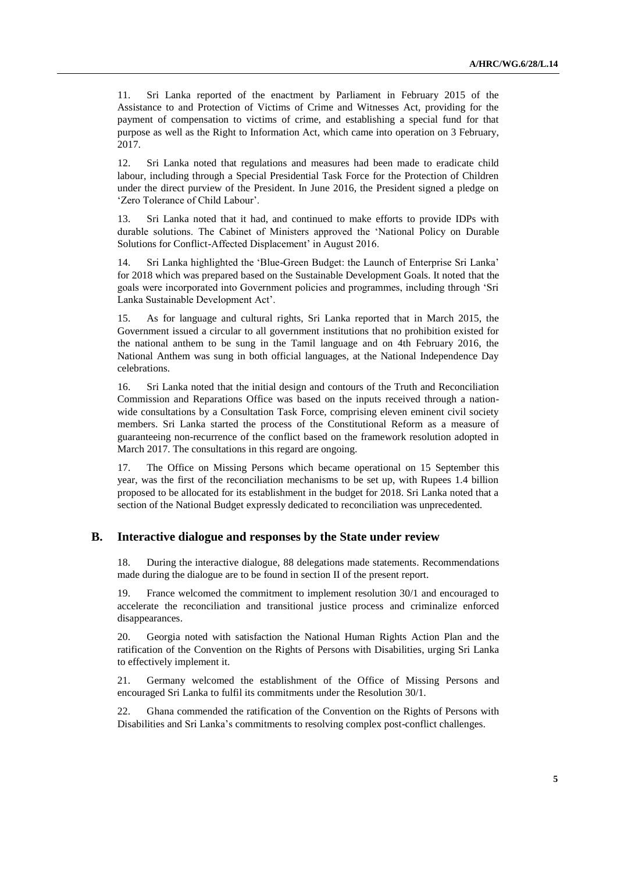11. Sri Lanka reported of the enactment by Parliament in February 2015 of the Assistance to and Protection of Victims of Crime and Witnesses Act, providing for the payment of compensation to victims of crime, and establishing a special fund for that purpose as well as the Right to Information Act, which came into operation on 3 February, 2017.

12. Sri Lanka noted that regulations and measures had been made to eradicate child labour, including through a Special Presidential Task Force for the Protection of Children under the direct purview of the President. In June 2016, the President signed a pledge on 'Zero Tolerance of Child Labour'.

13. Sri Lanka noted that it had, and continued to make efforts to provide IDPs with durable solutions. The Cabinet of Ministers approved the 'National Policy on Durable Solutions for Conflict-Affected Displacement' in August 2016.

14. Sri Lanka highlighted the 'Blue-Green Budget: the Launch of Enterprise Sri Lanka' for 2018 which was prepared based on the Sustainable Development Goals. It noted that the goals were incorporated into Government policies and programmes, including through 'Sri Lanka Sustainable Development Act'.

15. As for language and cultural rights, Sri Lanka reported that in March 2015, the Government issued a circular to all government institutions that no prohibition existed for the national anthem to be sung in the Tamil language and on 4th February 2016, the National Anthem was sung in both official languages, at the National Independence Day celebrations.

16. Sri Lanka noted that the initial design and contours of the Truth and Reconciliation Commission and Reparations Office was based on the inputs received through a nationwide consultations by a Consultation Task Force, comprising eleven eminent civil society members. Sri Lanka started the process of the Constitutional Reform as a measure of guaranteeing non-recurrence of the conflict based on the framework resolution adopted in March 2017. The consultations in this regard are ongoing.

17. The Office on Missing Persons which became operational on 15 September this year, was the first of the reconciliation mechanisms to be set up, with Rupees 1.4 billion proposed to be allocated for its establishment in the budget for 2018. Sri Lanka noted that a section of the National Budget expressly dedicated to reconciliation was unprecedented.

#### **B. Interactive dialogue and responses by the State under review**

18. During the interactive dialogue, 88 delegations made statements. Recommendations made during the dialogue are to be found in section II of the present report.

19. France welcomed the commitment to implement resolution 30/1 and encouraged to accelerate the reconciliation and transitional justice process and criminalize enforced disappearances.

20. Georgia noted with satisfaction the National Human Rights Action Plan and the ratification of the Convention on the Rights of Persons with Disabilities, urging Sri Lanka to effectively implement it.

21. Germany welcomed the establishment of the Office of Missing Persons and encouraged Sri Lanka to fulfil its commitments under the Resolution 30/1.

22. Ghana commended the ratification of the Convention on the Rights of Persons with Disabilities and Sri Lanka's commitments to resolving complex post-conflict challenges.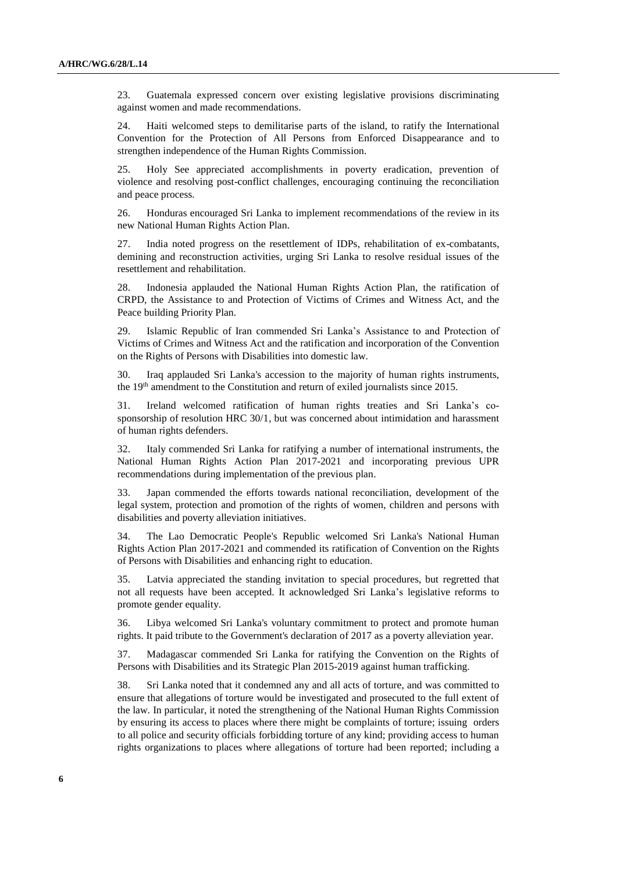23. Guatemala expressed concern over existing legislative provisions discriminating against women and made recommendations.

24. Haiti welcomed steps to demilitarise parts of the island, to ratify the International Convention for the Protection of All Persons from Enforced Disappearance and to strengthen independence of the Human Rights Commission.

25. Holy See appreciated accomplishments in poverty eradication, prevention of violence and resolving post-conflict challenges, encouraging continuing the reconciliation and peace process.

26. Honduras encouraged Sri Lanka to implement recommendations of the review in its new National Human Rights Action Plan.

27. India noted progress on the resettlement of IDPs, rehabilitation of ex-combatants, demining and reconstruction activities, urging Sri Lanka to resolve residual issues of the resettlement and rehabilitation.

28. Indonesia applauded the National Human Rights Action Plan, the ratification of CRPD, the Assistance to and Protection of Victims of Crimes and Witness Act, and the Peace building Priority Plan.

29. Islamic Republic of Iran commended Sri Lanka's Assistance to and Protection of Victims of Crimes and Witness Act and the ratification and incorporation of the Convention on the Rights of Persons with Disabilities into domestic law.

30. Iraq applauded Sri Lanka's accession to the majority of human rights instruments, the 19<sup>th</sup> amendment to the Constitution and return of exiled journalists since 2015.

31. Ireland welcomed ratification of human rights treaties and Sri Lanka's cosponsorship of resolution HRC 30/1, but was concerned about intimidation and harassment of human rights defenders.

32. Italy commended Sri Lanka for ratifying a number of international instruments, the National Human Rights Action Plan 2017-2021 and incorporating previous UPR recommendations during implementation of the previous plan.

33. Japan commended the efforts towards national reconciliation, development of the legal system, protection and promotion of the rights of women, children and persons with disabilities and poverty alleviation initiatives.

34. The Lao Democratic People's Republic welcomed Sri Lanka's National Human Rights Action Plan 2017-2021 and commended its ratification of Convention on the Rights of Persons with Disabilities and enhancing right to education.

35. Latvia appreciated the standing invitation to special procedures, but regretted that not all requests have been accepted. It acknowledged Sri Lanka's legislative reforms to promote gender equality.

36. Libya welcomed Sri Lanka's voluntary commitment to protect and promote human rights. It paid tribute to the Government's declaration of 2017 as a poverty alleviation year.

37. Madagascar commended Sri Lanka for ratifying the Convention on the Rights of Persons with Disabilities and its Strategic Plan 2015-2019 against human trafficking.

38. Sri Lanka noted that it condemned any and all acts of torture, and was committed to ensure that allegations of torture would be investigated and prosecuted to the full extent of the law. In particular, it noted the strengthening of the National Human Rights Commission by ensuring its access to places where there might be complaints of torture; issuing orders to all police and security officials forbidding torture of any kind; providing access to human rights organizations to places where allegations of torture had been reported; including a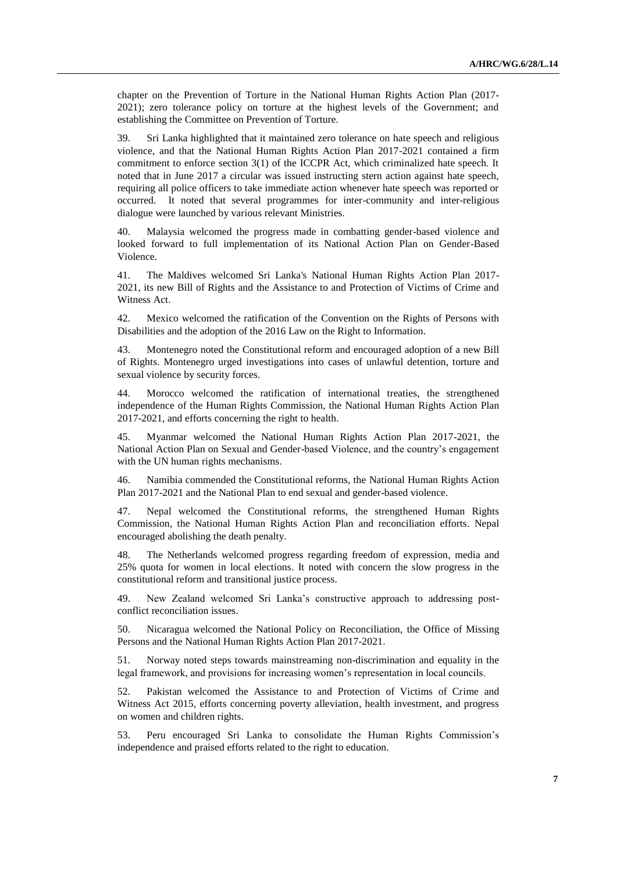chapter on the Prevention of Torture in the National Human Rights Action Plan (2017- 2021); zero tolerance policy on torture at the highest levels of the Government; and establishing the Committee on Prevention of Torture.

39. Sri Lanka highlighted that it maintained zero tolerance on hate speech and religious violence, and that the National Human Rights Action Plan 2017-2021 contained a firm commitment to enforce section 3(1) of the ICCPR Act, which criminalized hate speech. It noted that in June 2017 a circular was issued instructing stern action against hate speech, requiring all police officers to take immediate action whenever hate speech was reported or occurred. It noted that several programmes for inter-community and inter-religious dialogue were launched by various relevant Ministries.

40. Malaysia welcomed the progress made in combatting gender-based violence and looked forward to full implementation of its National Action Plan on Gender-Based Violence.

41. The Maldives welcomed Sri Lanka's National Human Rights Action Plan 2017- 2021, its new Bill of Rights and the Assistance to and Protection of Victims of Crime and Witness Act.

42. Mexico welcomed the ratification of the [Convention on the Rights of Persons with](http://www.ohchr.org/EN/HRBodies/CRPD/Pages/ConventionRightsPersonsWithDisabilities.aspx)  [Disabilities](http://www.ohchr.org/EN/HRBodies/CRPD/Pages/ConventionRightsPersonsWithDisabilities.aspx) and the adoption of the 2016 Law on the Right to Information.

43. Montenegro noted the Constitutional reform and encouraged adoption of a new Bill of Rights. Montenegro urged investigations into cases of unlawful detention, torture and sexual violence by security forces.

44. Morocco welcomed the ratification of international treaties, the strengthened independence of the Human Rights Commission, the National Human Rights Action Plan 2017-2021, and efforts concerning the right to health.

45. Myanmar welcomed the National Human Rights Action Plan 2017-2021, the National Action Plan on Sexual and Gender-based Violence, and the country's engagement with the UN human rights mechanisms.

46. Namibia commended the Constitutional reforms, the National Human Rights Action Plan 2017-2021 and the National Plan to end sexual and gender-based violence.

47. Nepal welcomed the Constitutional reforms, the strengthened Human Rights Commission, the National Human Rights Action Plan and reconciliation efforts. Nepal encouraged abolishing the death penalty.

48. The Netherlands welcomed progress regarding freedom of expression, media and 25% quota for women in local elections. It noted with concern the slow progress in the constitutional reform and transitional justice process.

49. New Zealand welcomed Sri Lanka's constructive approach to addressing postconflict reconciliation issues.

50. Nicaragua welcomed the National Policy on Reconciliation, the Office of Missing Persons and the National Human Rights Action Plan 2017-2021.

51. Norway noted steps towards mainstreaming non-discrimination and equality in the legal framework, and provisions for increasing women's representation in local councils.

52. Pakistan welcomed the Assistance to and Protection of Victims of Crime and Witness Act 2015, efforts concerning poverty alleviation, health investment, and progress on women and children rights.

53. Peru encouraged Sri Lanka to consolidate the Human Rights Commission's independence and praised efforts related to the right to education.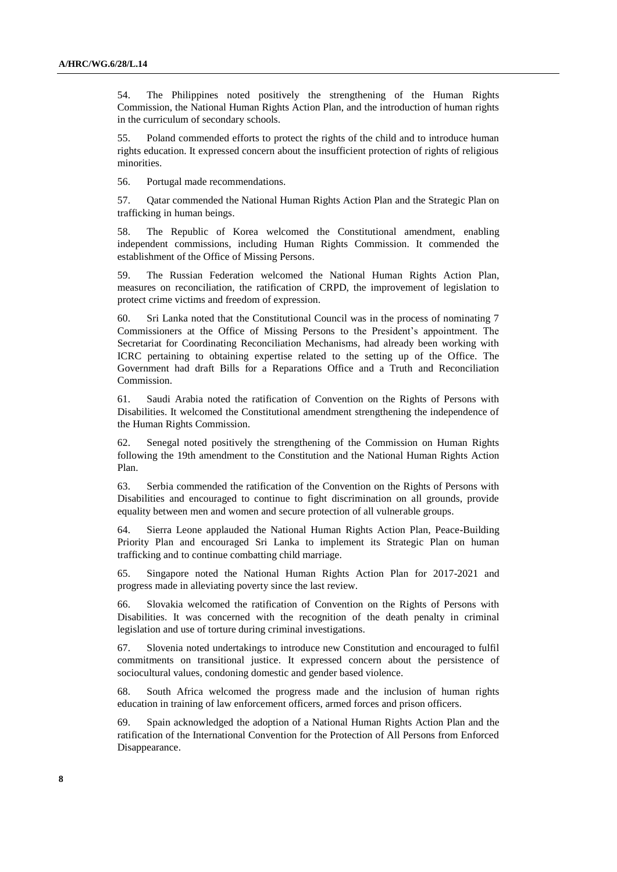54. The Philippines noted positively the strengthening of the Human Rights Commission, the National Human Rights Action Plan, and the introduction of human rights in the curriculum of secondary schools.

55. Poland commended efforts to protect the rights of the child and to introduce human rights education. It expressed concern about the insufficient protection of rights of religious minorities.

56. Portugal made recommendations.

57. Qatar commended the National Human Rights Action Plan and the Strategic Plan on trafficking in human beings.

58. The Republic of Korea welcomed the Constitutional amendment, enabling independent commissions, including Human Rights Commission. It commended the establishment of the Office of Missing Persons.

59. The Russian Federation welcomed the National Human Rights Action Plan, measures on reconciliation, the ratification of CRPD, the improvement of legislation to protect crime victims and freedom of expression.

60. Sri Lanka noted that the Constitutional Council was in the process of nominating 7 Commissioners at the Office of Missing Persons to the President's appointment. The Secretariat for Coordinating Reconciliation Mechanisms, had already been working with ICRC pertaining to obtaining expertise related to the setting up of the Office. The Government had draft Bills for a Reparations Office and a Truth and Reconciliation Commission.

61. Saudi Arabia noted the ratification of Convention on the Rights of Persons with Disabilities. It welcomed the Constitutional amendment strengthening the independence of the Human Rights Commission.

62. Senegal noted positively the strengthening of the Commission on Human Rights following the 19th amendment to the Constitution and the National Human Rights Action Plan.

63. Serbia commended the ratification of the Convention on the Rights of Persons with Disabilities and encouraged to continue to fight discrimination on all grounds, provide equality between men and women and secure protection of all vulnerable groups.

64. Sierra Leone applauded the National Human Rights Action Plan, Peace-Building Priority Plan and encouraged Sri Lanka to implement its Strategic Plan on human trafficking and to continue combatting child marriage.

65. Singapore noted the National Human Rights Action Plan for 2017-2021 and progress made in alleviating poverty since the last review.

66. Slovakia welcomed the ratification of Convention on the Rights of Persons with Disabilities. It was concerned with the recognition of the death penalty in criminal legislation and use of torture during criminal investigations.

67. Slovenia noted undertakings to introduce new Constitution and encouraged to fulfil commitments on transitional justice. It expressed concern about the persistence of sociocultural values, condoning domestic and gender based violence.

68. South Africa welcomed the progress made and the inclusion of human rights education in training of law enforcement officers, armed forces and prison officers.

69. Spain acknowledged the adoption of a National Human Rights Action Plan and the ratification of the International Convention for the Protection of All Persons from Enforced Disappearance.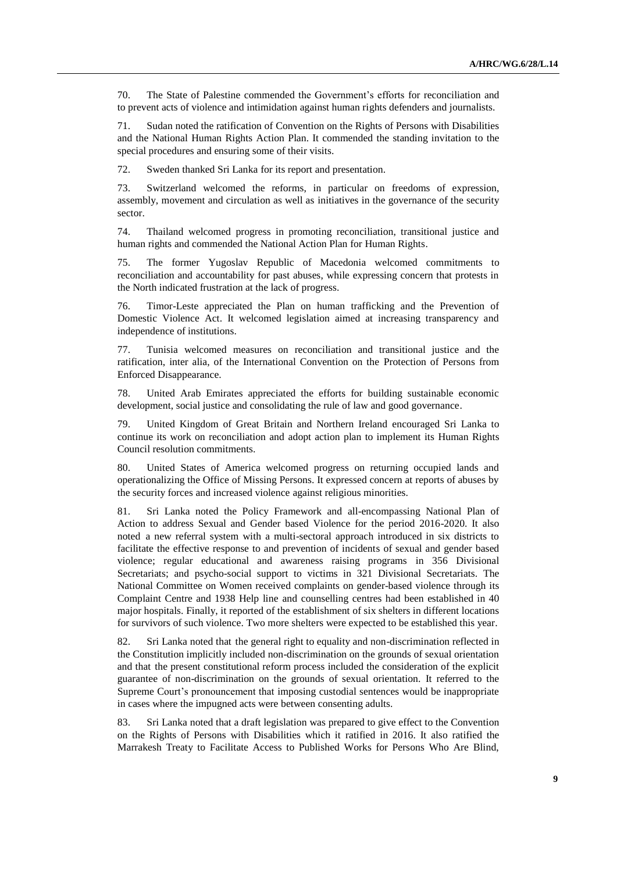70. The State of Palestine commended the Government's efforts for reconciliation and to prevent acts of violence and intimidation against human rights defenders and journalists.

71. Sudan noted the ratification of Convention on the Rights of Persons with Disabilities and the National Human Rights Action Plan. It commended the standing invitation to the special procedures and ensuring some of their visits.

72. Sweden thanked Sri Lanka for its report and presentation.

73. Switzerland welcomed the reforms, in particular on freedoms of expression, assembly, movement and circulation as well as initiatives in the governance of the security sector.

74. Thailand welcomed progress in promoting reconciliation, transitional justice and human rights and commended the National Action Plan for Human Rights.

75. The former Yugoslav Republic of Macedonia welcomed commitments to reconciliation and accountability for past abuses, while expressing concern that protests in the North indicated frustration at the lack of progress.

76. Timor-Leste appreciated the Plan on human trafficking and the Prevention of Domestic Violence Act. It welcomed legislation aimed at increasing transparency and independence of institutions.

77. Tunisia welcomed measures on reconciliation and transitional justice and the ratification, inter alia, of the International Convention on the Protection of Persons from Enforced Disappearance.

78. United Arab Emirates appreciated the efforts for building sustainable economic development, social justice and consolidating the rule of law and good governance.

79. United Kingdom of Great Britain and Northern Ireland encouraged Sri Lanka to continue its work on reconciliation and adopt action plan to implement its Human Rights Council resolution commitments.

80. United States of America welcomed progress on returning occupied lands and operationalizing the Office of Missing Persons. It expressed concern at reports of abuses by the security forces and increased violence against religious minorities.

81. Sri Lanka noted the Policy Framework and all-encompassing National Plan of Action to address Sexual and Gender based Violence for the period 2016-2020. It also noted a new referral system with a multi-sectoral approach introduced in six districts to facilitate the effective response to and prevention of incidents of sexual and gender based violence; regular educational and awareness raising programs in 356 Divisional Secretariats; and psycho-social support to victims in 321 Divisional Secretariats. The National Committee on Women received complaints on gender-based violence through its Complaint Centre and 1938 Help line and counselling centres had been established in 40 major hospitals. Finally, it reported of the establishment of six shelters in different locations for survivors of such violence. Two more shelters were expected to be established this year.

82. Sri Lanka noted that the general right to equality and non-discrimination reflected in the Constitution implicitly included non-discrimination on the grounds of sexual orientation and that the present constitutional reform process included the consideration of the explicit guarantee of non-discrimination on the grounds of sexual orientation. It referred to the Supreme Court's pronouncement that imposing custodial sentences would be inappropriate in cases where the impugned acts were between consenting adults.

83. Sri Lanka noted that a draft legislation was prepared to give effect to the Convention on the Rights of Persons with Disabilities which it ratified in 2016. It also ratified the Marrakesh Treaty to Facilitate Access to Published Works for Persons Who Are Blind,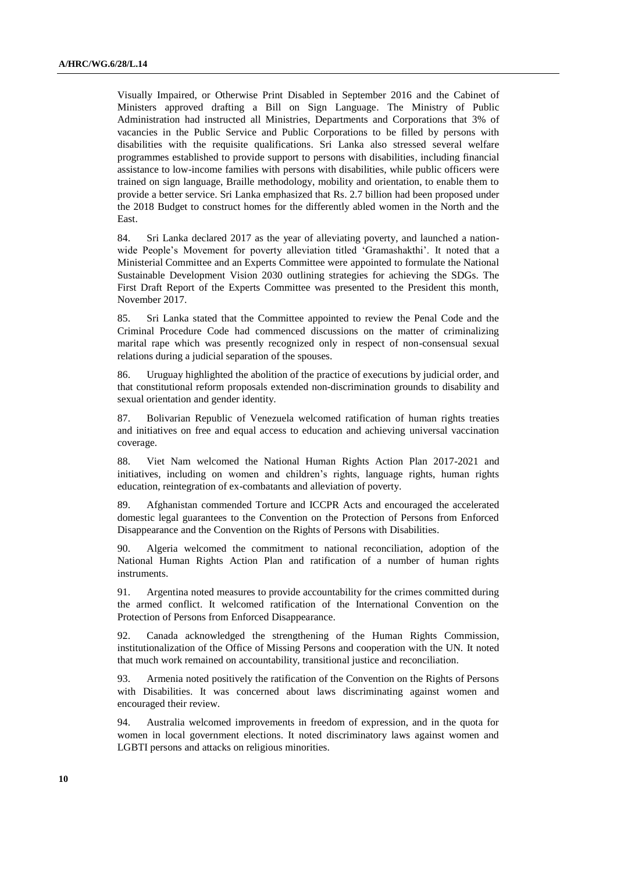Visually Impaired, or Otherwise Print Disabled in September 2016 and the Cabinet of Ministers approved drafting a Bill on Sign Language. The Ministry of Public Administration had instructed all Ministries, Departments and Corporations that 3% of vacancies in the Public Service and Public Corporations to be filled by persons with disabilities with the requisite qualifications. Sri Lanka also stressed several welfare programmes established to provide support to persons with disabilities, including financial assistance to low-income families with persons with disabilities, while public officers were trained on sign language, Braille methodology, mobility and orientation, to enable them to provide a better service. Sri Lanka emphasized that Rs. 2.7 billion had been proposed under the 2018 Budget to construct homes for the differently abled women in the North and the East.

84. Sri Lanka declared 2017 as the year of alleviating poverty, and launched a nationwide People's Movement for poverty alleviation titled 'Gramashakthi'. It noted that a Ministerial Committee and an Experts Committee were appointed to formulate the National Sustainable Development Vision 2030 outlining strategies for achieving the SDGs. The First Draft Report of the Experts Committee was presented to the President this month, November 2017.

85. Sri Lanka stated that the Committee appointed to review the Penal Code and the Criminal Procedure Code had commenced discussions on the matter of criminalizing marital rape which was presently recognized only in respect of non-consensual sexual relations during a judicial separation of the spouses.

86. Uruguay highlighted the abolition of the practice of executions by judicial order, and that constitutional reform proposals extended non-discrimination grounds to disability and sexual orientation and gender identity.

87. Bolivarian Republic of Venezuela welcomed ratification of human rights treaties and initiatives on free and equal access to education and achieving universal vaccination coverage.

88. Viet Nam welcomed the National Human Rights Action Plan 2017-2021 and initiatives, including on women and children's rights, language rights, human rights education, reintegration of ex-combatants and alleviation of poverty.

89. Afghanistan commended Torture and ICCPR Acts and encouraged the accelerated domestic legal guarantees to the Convention on the Protection of Persons from Enforced Disappearance and the Convention on the Rights of Persons with Disabilities.

90. Algeria welcomed the commitment to national reconciliation, adoption of the National Human Rights Action Plan and ratification of a number of human rights instruments.

91. Argentina noted measures to provide accountability for the crimes committed during the armed conflict. It welcomed ratification of the International Convention on the Protection of Persons from Enforced Disappearance.

92. Canada acknowledged the strengthening of the Human Rights Commission, institutionalization of the Office of Missing Persons and cooperation with the UN. It noted that much work remained on accountability, transitional justice and reconciliation.

93. Armenia noted positively the ratification of the Convention on the Rights of Persons with Disabilities. It was concerned about laws discriminating against women and encouraged their review.

94. Australia welcomed improvements in freedom of expression, and in the quota for women in local government elections. It noted discriminatory laws against women and LGBTI persons and attacks on religious minorities.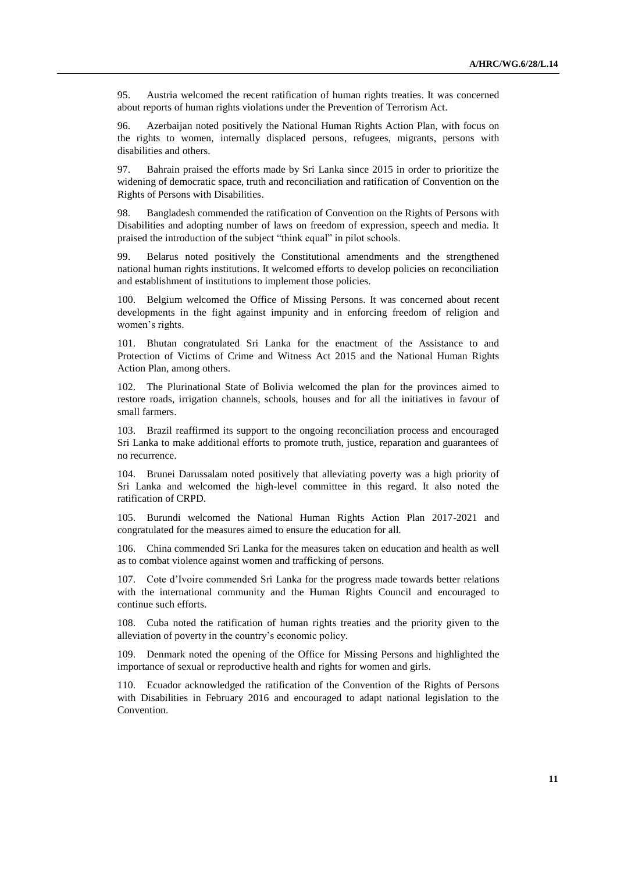95. Austria welcomed the recent ratification of human rights treaties. It was concerned about reports of human rights violations under the Prevention of Terrorism Act.

96. Azerbaijan noted positively the National Human Rights Action Plan, with focus on the rights to women, internally displaced persons, refugees, migrants, persons with disabilities and others.

97. Bahrain praised the efforts made by Sri Lanka since 2015 in order to prioritize the widening of democratic space, truth and reconciliation and ratification of Convention on the Rights of Persons with Disabilities.

98. Bangladesh commended the ratification of Convention on the Rights of Persons with Disabilities and adopting number of laws on freedom of expression, speech and media. It praised the introduction of the subject "think equal" in pilot schools.

99. Belarus noted positively the Constitutional amendments and the strengthened national human rights institutions. It welcomed efforts to develop policies on reconciliation and establishment of institutions to implement those policies.

100. Belgium welcomed the Office of Missing Persons. It was concerned about recent developments in the fight against impunity and in enforcing freedom of religion and women's rights.

101. Bhutan congratulated Sri Lanka for the enactment of the Assistance to and Protection of Victims of Crime and Witness Act 2015 and the National Human Rights Action Plan, among others.

102. The Plurinational State of Bolivia welcomed the plan for the provinces aimed to restore roads, irrigation channels, schools, houses and for all the initiatives in favour of small farmers.

103. Brazil reaffirmed its support to the ongoing reconciliation process and encouraged Sri Lanka to make additional efforts to promote truth, justice, reparation and guarantees of no recurrence.

104. Brunei Darussalam noted positively that alleviating poverty was a high priority of Sri Lanka and welcomed the high-level committee in this regard. It also noted the ratification of CRPD.

105. Burundi welcomed the National Human Rights Action Plan 2017-2021 and congratulated for the measures aimed to ensure the education for all.

106. China commended Sri Lanka for the measures taken on education and health as well as to combat violence against women and trafficking of persons.

107. Cote d'Ivoire commended Sri Lanka for the progress made towards better relations with the international community and the Human Rights Council and encouraged to continue such efforts.

108. Cuba noted the ratification of human rights treaties and the priority given to the alleviation of poverty in the country's economic policy.

109. Denmark noted the opening of the Office for Missing Persons and highlighted the importance of sexual or reproductive health and rights for women and girls.

110. Ecuador acknowledged the ratification of the Convention of the Rights of Persons with Disabilities in February 2016 and encouraged to adapt national legislation to the Convention.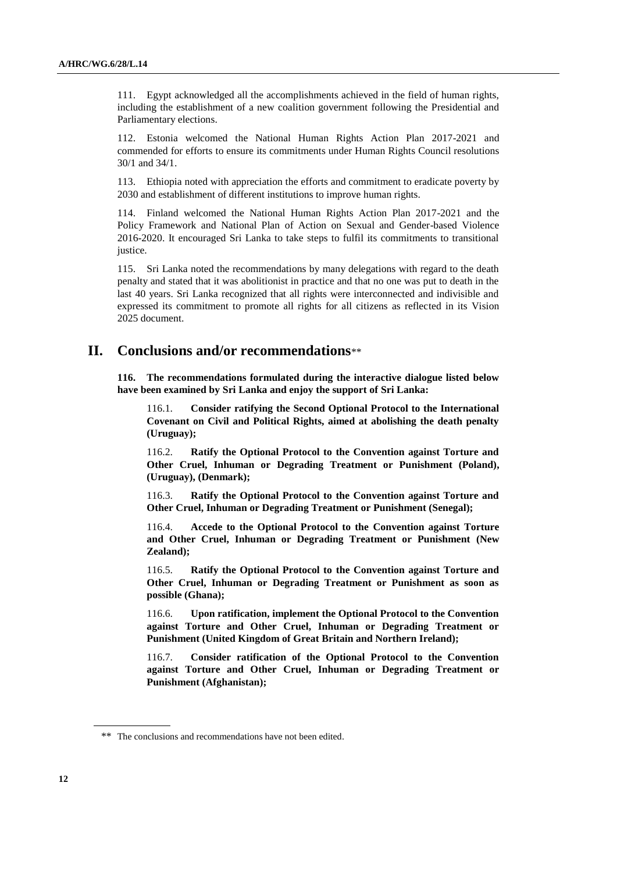111. Egypt acknowledged all the accomplishments achieved in the field of human rights, including the establishment of a new coalition government following the Presidential and Parliamentary elections.

112. Estonia welcomed the National Human Rights Action Plan 2017-2021 and commended for efforts to ensure its commitments under Human Rights Council resolutions 30/1 and 34/1.

113. Ethiopia noted with appreciation the efforts and commitment to eradicate poverty by 2030 and establishment of different institutions to improve human rights.

114. Finland welcomed the National Human Rights Action Plan 2017-2021 and the Policy Framework and National Plan of Action on Sexual and Gender-based Violence 2016-2020. It encouraged Sri Lanka to take steps to fulfil its commitments to transitional justice.

115. Sri Lanka noted the recommendations by many delegations with regard to the death penalty and stated that it was abolitionist in practice and that no one was put to death in the last 40 years. Sri Lanka recognized that all rights were interconnected and indivisible and expressed its commitment to promote all rights for all citizens as reflected in its Vision 2025 document.

## **II. Conclusions and/or recommendations**\*\*

**116. The recommendations formulated during the interactive dialogue listed below have been examined by Sri Lanka and enjoy the support of Sri Lanka:**

116.1. **Consider ratifying the Second Optional Protocol to the International Covenant on Civil and Political Rights, aimed at abolishing the death penalty (Uruguay);**

116.2. **Ratify the Optional Protocol to the Convention against Torture and Other Cruel, Inhuman or Degrading Treatment or Punishment (Poland), (Uruguay), (Denmark);**

116.3. **Ratify the Optional Protocol to the Convention against Torture and Other Cruel, Inhuman or Degrading Treatment or Punishment (Senegal);**

116.4. **Accede to the Optional Protocol to the [Convention against Torture](http://www.ohchr.org/EN/ProfessionalInterest/Pages/CAT.aspx)  [and Other Cruel, Inhuman or Degrading Treatment or Punishment](http://www.ohchr.org/EN/ProfessionalInterest/Pages/CAT.aspx) (New Zealand);**

116.5. **Ratify the Optional Protocol to the Convention against Torture and Other Cruel, Inhuman or Degrading Treatment or Punishment as soon as possible (Ghana);**

116.6. **Upon ratification, implement the Optional Protocol to the Convention against Torture and Other Cruel, Inhuman or Degrading Treatment or Punishment (United Kingdom of Great Britain and Northern Ireland);**

116.7. **Consider ratification of the Optional Protocol to the Convention against Torture and Other Cruel, Inhuman or Degrading Treatment or Punishment (Afghanistan);**

<sup>\*\*</sup> The conclusions and recommendations have not been edited.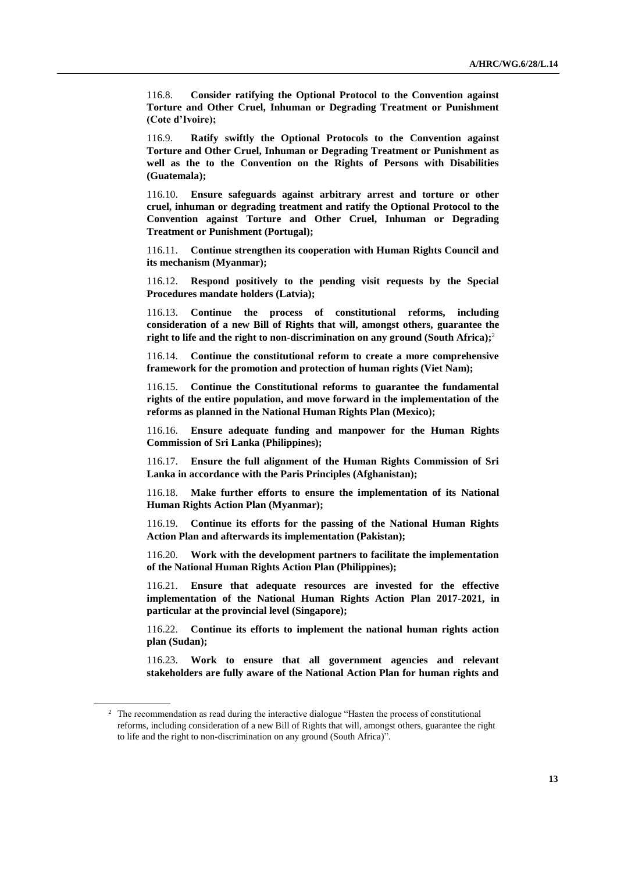116.8. **Consider ratifying the Optional Protocol to the Convention against Torture and Other Cruel, Inhuman or Degrading Treatment or Punishment (Cote d'Ivoire);**

116.9. **Ratify swiftly the Optional Protocols to the Convention against Torture and Other Cruel, Inhuman or Degrading Treatment or Punishment as well as the to the Convention on the Rights of Persons with Disabilities (Guatemala);**

116.10. **Ensure safeguards against arbitrary arrest and torture or other cruel, inhuman or degrading treatment and ratify the Optional Protocol to the Convention against Torture and Other Cruel, Inhuman or Degrading Treatment or Punishment (Portugal);**

116.11. **Continue strengthen its cooperation with Human Rights Council and its mechanism (Myanmar);**

116.12. **Respond positively to the pending visit requests by the Special Procedures mandate holders (Latvia);**

116.13. **Continue the process of constitutional reforms, including consideration of a new Bill of Rights that will, amongst others, guarantee the right to life and the right to non-discrimination on any ground (South Africa);** 2

116.14. **Continue the constitutional reform to create a more comprehensive framework for the promotion and protection of human rights (Viet Nam);**

116.15. **Continue the Constitutional reforms to guarantee the fundamental rights of the entire population, and move forward in the implementation of the reforms as planned in the National Human Rights Plan (Mexico);**

116.16. **Ensure adequate funding and manpower for the Human Rights Commission of Sri Lanka (Philippines);**

116.17. **Ensure the full alignment of the Human Rights Commission of Sri Lanka in accordance with the Paris Principles (Afghanistan);**

116.18. **Make further efforts to ensure the implementation of its National Human Rights Action Plan (Myanmar);**

116.19. **Continue its efforts for the passing of the National Human Rights Action Plan and afterwards its implementation (Pakistan);**

116.20. **Work with the development partners to facilitate the implementation of the National Human Rights Action Plan (Philippines);**

116.21. **Ensure that adequate resources are invested for the effective implementation of the National Human Rights Action Plan 2017-2021, in particular at the provincial level (Singapore);**

116.22. **Continue its efforts to implement the national human rights action plan (Sudan);**

116.23. **Work to ensure that all government agencies and relevant stakeholders are fully aware of the National Action Plan for human rights and** 

<sup>&</sup>lt;sup>2</sup> The recommendation as read during the interactive dialogue "Hasten the process of constitutional reforms, including consideration of a new Bill of Rights that will, amongst others, guarantee the right to life and the right to non-discrimination on any ground (South Africa)".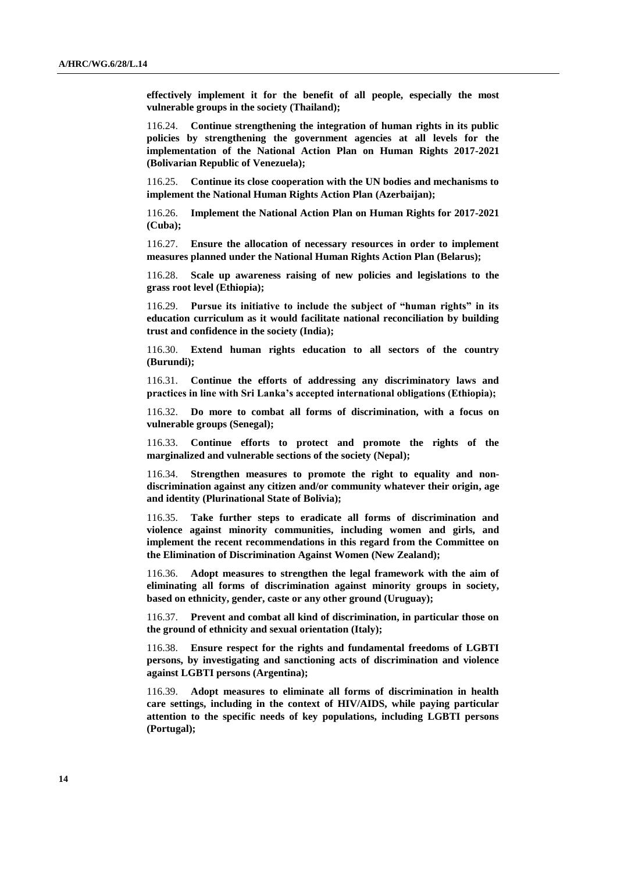**effectively implement it for the benefit of all people, especially the most vulnerable groups in the society (Thailand);**

116.24. **Continue strengthening the integration of human rights in its public policies by strengthening the government agencies at all levels for the implementation of the National Action Plan on Human Rights 2017-2021 (Bolivarian Republic of Venezuela);**

116.25. **Continue its close cooperation with the UN bodies and mechanisms to implement the National Human Rights Action Plan (Azerbaijan);**

116.26. **Implement the National Action Plan on Human Rights for 2017-2021 (Cuba);**

116.27. **Ensure the allocation of necessary resources in order to implement measures planned under the National Human Rights Action Plan (Belarus);**

116.28. **Scale up awareness raising of new policies and legislations to the grass root level (Ethiopia);**

116.29. **Pursue its initiative to include the subject of "human rights" in its education curriculum as it would facilitate national reconciliation by building trust and confidence in the society (India);**

116.30. **Extend human rights education to all sectors of the country (Burundi);**

116.31. **Continue the efforts of addressing any discriminatory laws and practices in line with Sri Lanka's accepted international obligations (Ethiopia);**

116.32. **Do more to combat all forms of discrimination, with a focus on vulnerable groups (Senegal);**

116.33. **Continue efforts to protect and promote the rights of the marginalized and vulnerable sections of the society (Nepal);**

116.34. **Strengthen measures to promote the right to equality and nondiscrimination against any citizen and/or community whatever their origin, age and identity (Plurinational State of Bolivia);**

116.35. **Take further steps to eradicate all forms of discrimination and violence against minority communities, including women and girls, and implement the recent recommendations in this regard from the Committee on the Elimination of Discrimination Against Women (New Zealand);**

116.36. **Adopt measures to strengthen the legal framework with the aim of eliminating all forms of discrimination against minority groups in society, based on ethnicity, gender, caste or any other ground (Uruguay);**

116.37. **Prevent and combat all kind of discrimination, in particular those on the ground of ethnicity and sexual orientation (Italy);**

116.38. **Ensure respect for the rights and fundamental freedoms of LGBTI persons, by investigating and sanctioning acts of discrimination and violence against LGBTI persons (Argentina);**

116.39. **Adopt measures to eliminate all forms of discrimination in health care settings, including in the context of HIV/AIDS, while paying particular attention to the specific needs of key populations, including LGBTI persons (Portugal);**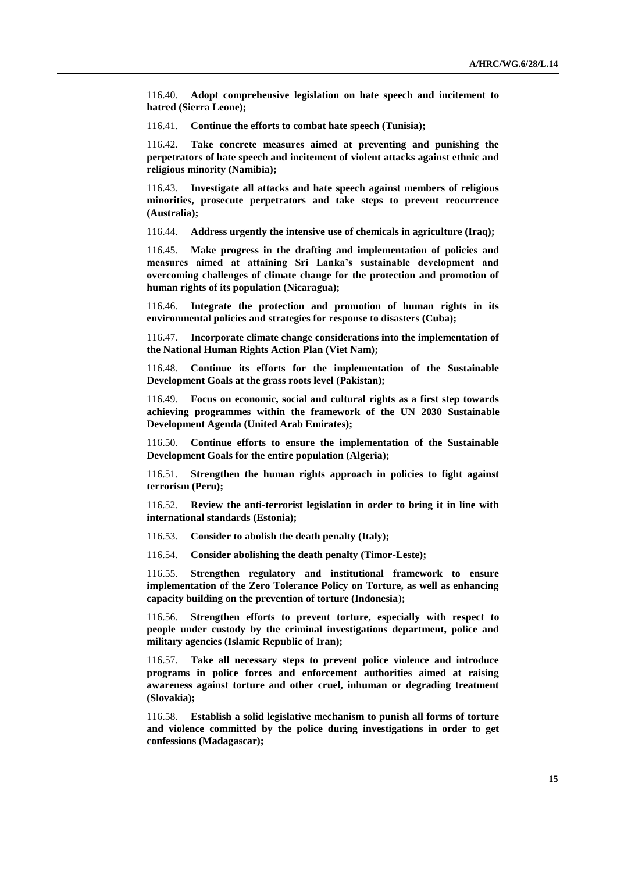116.40. **Adopt comprehensive legislation on hate speech and incitement to hatred (Sierra Leone);**

116.41. **Continue the efforts to combat hate speech (Tunisia);**

116.42. **Take concrete measures aimed at preventing and punishing the perpetrators of hate speech and incitement of violent attacks against ethnic and religious minority (Namibia);**

116.43. **Investigate all attacks and hate speech against members of religious minorities, prosecute perpetrators and take steps to prevent reocurrence (Australia);**

116.44. **Address urgently the intensive use of chemicals in agriculture (Iraq);**

116.45. **Make progress in the drafting and implementation of policies and measures aimed at attaining Sri Lanka's sustainable development and overcoming challenges of climate change for the protection and promotion of human rights of its population (Nicaragua);**

116.46. **Integrate the protection and promotion of human rights in its environmental policies and strategies for response to disasters (Cuba);**

116.47. **Incorporate climate change considerations into the implementation of the National Human Rights Action Plan (Viet Nam);**

116.48. **Continue its efforts for the implementation of the Sustainable Development Goals at the grass roots level (Pakistan);**

116.49. **Focus on economic, social and cultural rights as a first step towards achieving programmes within the framework of the UN 2030 Sustainable Development Agenda (United Arab Emirates);**

116.50. **Continue efforts to ensure the implementation of the Sustainable Development Goals for the entire population (Algeria);**

116.51. **Strengthen the human rights approach in policies to fight against terrorism (Peru);**

116.52. **Review the anti-terrorist legislation in order to bring it in line with international standards (Estonia);**

116.53. **Consider to abolish the death penalty (Italy);**

116.54. **Consider abolishing the death penalty (Timor-Leste);**

116.55. **Strengthen regulatory and institutional framework to ensure implementation of the Zero Tolerance Policy on Torture, as well as enhancing capacity building on the prevention of torture (Indonesia);**

116.56. **Strengthen efforts to prevent torture, especially with respect to people under custody by the criminal investigations department, police and military agencies (Islamic Republic of Iran);**

116.57. **Take all necessary steps to prevent police violence and introduce programs in police forces and enforcement authorities aimed at raising awareness against torture and other cruel, inhuman or degrading treatment (Slovakia);**

116.58. **Establish a solid legislative mechanism to punish all forms of torture and violence committed by the police during investigations in order to get confessions (Madagascar);**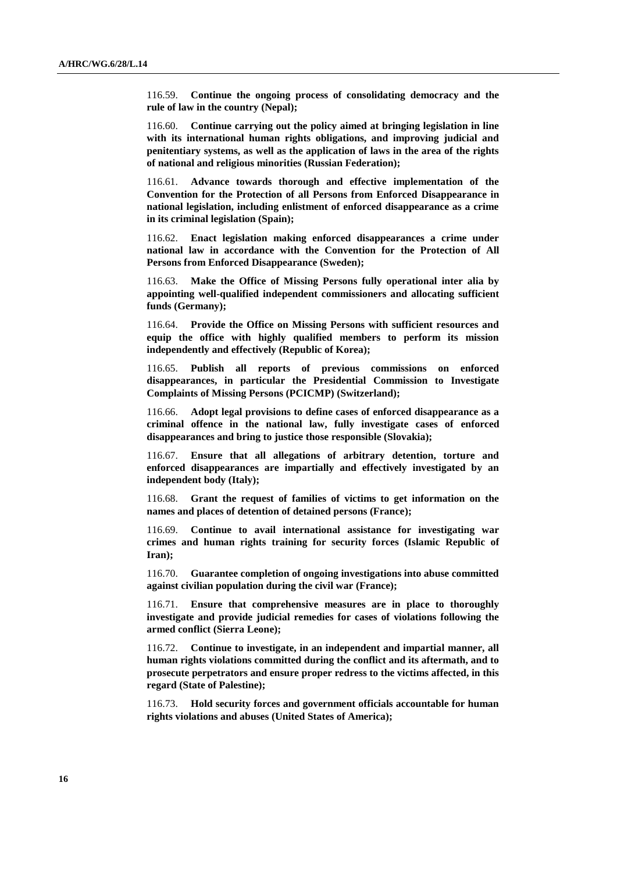116.59. **Continue the ongoing process of consolidating democracy and the rule of law in the country (Nepal);**

116.60. **Continue carrying out the policy aimed at bringing legislation in line with its international human rights obligations, and improving judicial and penitentiary systems, as well as the application of laws in the area of the rights of national and religious minorities (Russian Federation);**

116.61. **Advance towards thorough and effective implementation of the Convention [for the Protection of all Persons from Enforced Disappearance](http://www.ohchr.org/Documents/HRBodies/CED/OHCHR_Map_CPED.pdf) in national legislation, including enlistment of enforced disappearance as a crime in its criminal legislation (Spain);**

116.62. **Enact legislation making enforced disappearances a crime under national law in accordance with the Convention for the Protection of All Persons from Enforced Disappearance (Sweden);**

116.63. **Make the Office of Missing Persons fully operational inter alia by appointing well-qualified independent commissioners and allocating sufficient funds (Germany);**

116.64. **Provide the Office on Missing Persons with sufficient resources and equip the office with highly qualified members to perform its mission independently and effectively (Republic of Korea);**

116.65. **Publish all reports of previous commissions on enforced disappearances, in particular the Presidential Commission to Investigate Complaints of Missing Persons (PCICMP) (Switzerland);**

116.66. **Adopt legal provisions to define cases of enforced disappearance as a criminal offence in the national law, fully investigate cases of enforced disappearances and bring to justice those responsible (Slovakia);**

116.67. **Ensure that all allegations of arbitrary detention, torture and enforced disappearances are impartially and effectively investigated by an independent body (Italy);**

116.68. **Grant the request of families of victims to get information on the names and places of detention of detained persons (France);**

116.69. **Continue to avail international assistance for investigating war crimes and human rights training for security forces (Islamic Republic of Iran);**

116.70. **Guarantee completion of ongoing investigations into abuse committed against civilian population during the civil war (France);**

116.71. **Ensure that comprehensive measures are in place to thoroughly investigate and provide judicial remedies for cases of violations following the armed conflict (Sierra Leone);**

116.72. **Continue to investigate, in an independent and impartial manner, all human rights violations committed during the conflict and its aftermath, and to prosecute perpetrators and ensure proper redress to the victims affected, in this regard (State of Palestine);**

116.73. **Hold security forces and government officials accountable for human rights violations and abuses (United States of America);**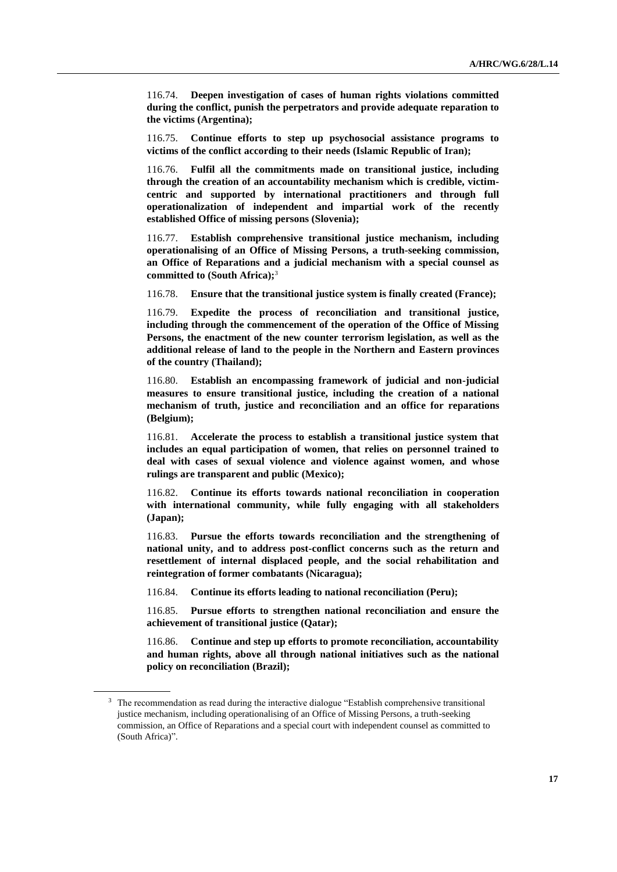116.74. **Deepen investigation of cases of human rights violations committed during the conflict, punish the perpetrators and provide adequate reparation to the victims (Argentina);**

116.75. **Continue efforts to step up psychosocial assistance programs to victims of the conflict according to their needs (Islamic Republic of Iran);**

116.76. **Fulfil all the commitments made on transitional justice, including through the creation of an accountability mechanism which is credible, victimcentric and supported by international practitioners and through full operationalization of independent and impartial work of the recently established Office of missing persons (Slovenia);**

116.77. **Establish comprehensive transitional justice mechanism, including operationalising of an Office of Missing Persons, a truth-seeking commission, an Office of Reparations and a judicial mechanism with a special counsel as committed to (South Africa);**<sup>3</sup>

116.78. **Ensure that the transitional justice system is finally created (France);**

116.79. **Expedite the process of reconciliation and transitional justice, including through the commencement of the operation of the Office of Missing Persons, the enactment of the new counter terrorism legislation, as well as the additional release of land to the people in the Northern and Eastern provinces of the country (Thailand);**

116.80. **Establish an encompassing framework of judicial and non-judicial measures to ensure transitional justice, including the creation of a national mechanism of truth, justice and reconciliation and an office for reparations (Belgium);**

116.81. **Accelerate the process to establish a transitional justice system that includes an equal participation of women, that relies on personnel trained to deal with cases of sexual violence and violence against women, and whose rulings are transparent and public (Mexico);**

116.82. **Continue its efforts towards national reconciliation in cooperation with international community, while fully engaging with all stakeholders (Japan);**

116.83. **Pursue the efforts towards reconciliation and the strengthening of national unity, and to address post-conflict concerns such as the return and resettlement of internal displaced people, and the social rehabilitation and reintegration of former combatants (Nicaragua);**

116.84. **Continue its efforts leading to national reconciliation (Peru);**

116.85. **Pursue efforts to strengthen national reconciliation and ensure the achievement of transitional justice (Qatar);**

116.86. **Continue and step up efforts to promote reconciliation, accountability and human rights, above all through national initiatives such as the national policy on reconciliation (Brazil);**

<sup>&</sup>lt;sup>3</sup> The recommendation as read during the interactive dialogue "Establish comprehensive transitional justice mechanism, including operationalising of an Office of Missing Persons, a truth-seeking commission, an Office of Reparations and a special court with independent counsel as committed to (South Africa)".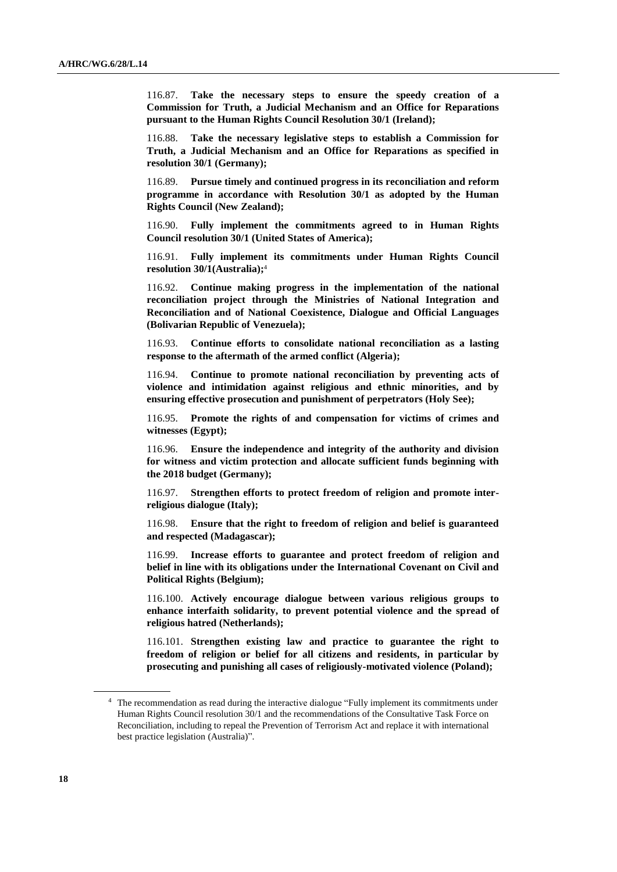116.87. **Take the necessary steps to ensure the speedy creation of a Commission for Truth, a Judicial Mechanism and an Office for Reparations pursuant to the Human Rights Council Resolution 30/1 (Ireland);**

Take the necessary legislative steps to establish a Commission for **Truth, a Judicial Mechanism and an Office for Reparations as specified in resolution 30/1 (Germany);**

116.89. **Pursue timely and continued progress in its reconciliation and reform programme in accordance with Resolution 30/1 as adopted by the Human Rights Council (New Zealand);**

116.90. **Fully implement the commitments agreed to in Human Rights Council resolution 30/1 (United States of America);**

116.91. **Fully implement its commitments under Human Rights Council resolution 30/1(Australia);**<sup>4</sup>

116.92. **Continue making progress in the implementation of the national reconciliation project through the Ministries of National Integration and Reconciliation and of National Coexistence, Dialogue and Official Languages (Bolivarian Republic of Venezuela);**

116.93. **Continue efforts to consolidate national reconciliation as a lasting response to the aftermath of the armed conflict (Algeria);**

116.94. **Continue to promote national reconciliation by preventing acts of violence and intimidation against religious and ethnic minorities, and by ensuring effective prosecution and punishment of perpetrators (Holy See);**

116.95. **Promote the rights of and compensation for victims of crimes and witnesses (Egypt);**

116.96. **Ensure the independence and integrity of the authority and division for witness and victim protection and allocate sufficient funds beginning with the 2018 budget (Germany);**

116.97. **Strengthen efforts to protect freedom of religion and promote interreligious dialogue (Italy);**

116.98. **Ensure that the right to freedom of religion and belief is guaranteed and respected (Madagascar);**

116.99. **Increase efforts to guarantee and protect freedom of religion and belief in line with its obligations under the International Covenant on Civil and Political Rights (Belgium);**

116.100. **Actively encourage dialogue between various religious groups to enhance interfaith solidarity, to prevent potential violence and the spread of religious hatred (Netherlands);**

116.101. **Strengthen existing law and practice to guarantee the right to freedom of religion or belief for all citizens and residents, in particular by prosecuting and punishing all cases of religiously-motivated violence (Poland);**

<sup>4</sup> The recommendation as read during the interactive dialogue "Fully implement its commitments under Human Rights Council resolution 30/1 and the recommendations of the Consultative Task Force on Reconciliation, including to repeal the Prevention of Terrorism Act and replace it with international best practice legislation (Australia)".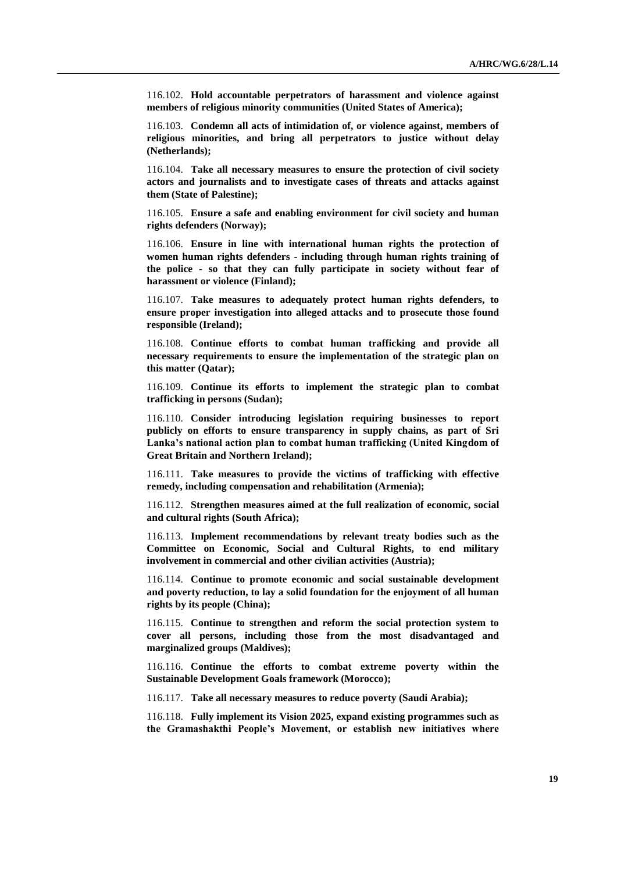116.102. **Hold accountable perpetrators of harassment and violence against members of religious minority communities (United States of America);**

116.103. **Condemn all acts of intimidation of, or violence against, members of religious minorities, and bring all perpetrators to justice without delay (Netherlands);**

116.104. **Take all necessary measures to ensure the protection of civil society actors and journalists and to investigate cases of threats and attacks against them (State of Palestine);**

116.105. **Ensure a safe and enabling environment for civil society and human rights defenders (Norway);**

116.106. **Ensure in line with international human rights the protection of women human rights defenders - including through human rights training of the police - so that they can fully participate in society without fear of harassment or violence (Finland);**

116.107. **Take measures to adequately protect human rights defenders, to ensure proper investigation into alleged attacks and to prosecute those found responsible (Ireland);**

116.108. **Continue efforts to combat human trafficking and provide all necessary requirements to ensure the implementation of the strategic plan on this matter (Qatar);**

116.109. **Continue its efforts to implement the strategic plan to combat trafficking in persons (Sudan);**

116.110. **Consider introducing legislation requiring businesses to report publicly on efforts to ensure transparency in supply chains, as part of Sri Lanka's national action plan to combat human trafficking (United Kingdom of Great Britain and Northern Ireland);**

116.111. **Take measures to provide the victims of trafficking with effective remedy, including compensation and rehabilitation (Armenia);**

116.112. **Strengthen measures aimed at the full realization of economic, social and cultural rights (South Africa);**

116.113. **Implement recommendations by relevant treaty bodies such as the Committee on Economic, Social and Cultural Rights, to end military involvement in commercial and other civilian activities (Austria);**

116.114. **Continue to promote economic and social sustainable development and poverty reduction, to lay a solid foundation for the enjoyment of all human rights by its people (China);**

116.115. **Continue to strengthen and reform the social protection system to cover all persons, including those from the most disadvantaged and marginalized groups (Maldives);**

116.116. **Continue the efforts to combat extreme poverty within the Sustainable Development Goals framework (Morocco);**

116.117. **Take all necessary measures to reduce poverty (Saudi Arabia);**

116.118. **Fully implement its Vision 2025, expand existing programmes such as the Gramashakthi People's Movement, or establish new initiatives where**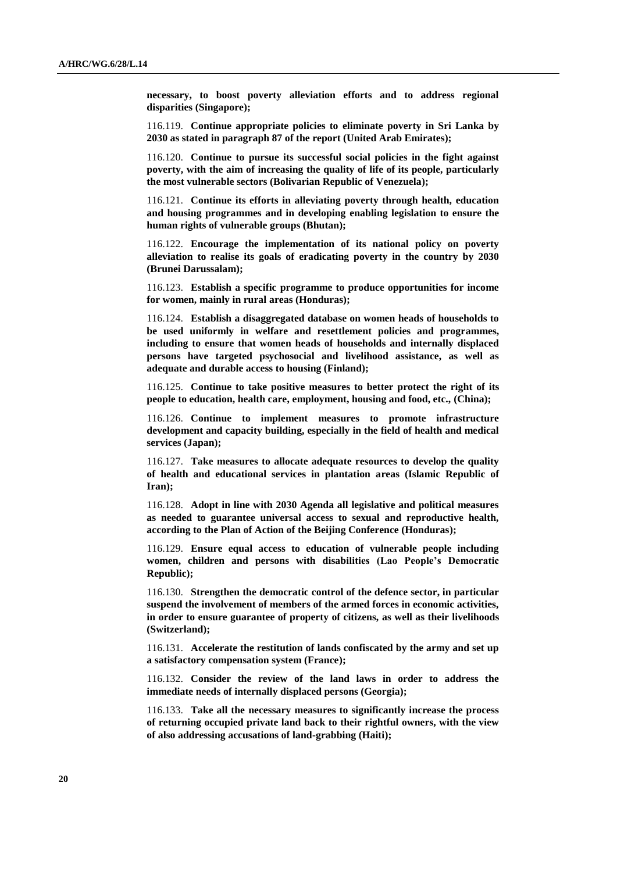**necessary, to boost poverty alleviation efforts and to address regional disparities (Singapore);**

116.119. **Continue appropriate policies to eliminate poverty in Sri Lanka by 2030 as stated in paragraph 87 of the report (United Arab Emirates);**

116.120. **Continue to pursue its successful social policies in the fight against poverty, with the aim of increasing the quality of life of its people, particularly the most vulnerable sectors (Bolivarian Republic of Venezuela);**

116.121. **Continue its efforts in alleviating poverty through health, education and housing programmes and in developing enabling legislation to ensure the human rights of vulnerable groups (Bhutan);**

116.122. **Encourage the implementation of its national policy on poverty alleviation to realise its goals of eradicating poverty in the country by 2030 (Brunei Darussalam);**

116.123. **Establish a specific programme to produce opportunities for income for women, mainly in rural areas (Honduras);**

116.124. **Establish a disaggregated database on women heads of households to be used uniformly in welfare and resettlement policies and programmes, including to ensure that women heads of households and internally displaced persons have targeted psychosocial and livelihood assistance, as well as adequate and durable access to housing (Finland);**

116.125. **Continue to take positive measures to better protect the right of its people to education, health care, employment, housing and food, etc., (China);**

116.126. **Continue to implement measures to promote infrastructure development and capacity building, especially in the field of health and medical services (Japan);**

116.127. **Take measures to allocate adequate resources to develop the quality of health and educational services in plantation areas (Islamic Republic of Iran);**

116.128. **Adopt in line with 2030 Agenda all legislative and political measures as needed to guarantee universal access to sexual and reproductive health, according to the Plan of Action of the Beijing Conference (Honduras);**

116.129. **Ensure equal access to education of vulnerable people including women, children and persons with disabilities (Lao People's Democratic Republic);**

116.130. **Strengthen the democratic control of the defence sector, in particular suspend the involvement of members of the armed forces in economic activities, in order to ensure guarantee of property of citizens, as well as their livelihoods (Switzerland);**

116.131. **Accelerate the restitution of lands confiscated by the army and set up a satisfactory compensation system (France);**

116.132. **Consider the review of the land laws in order to address the immediate needs of internally displaced persons (Georgia);**

116.133. **Take all the necessary measures to significantly increase the process of returning occupied private land back to their rightful owners, with the view of also addressing accusations of land-grabbing (Haiti);**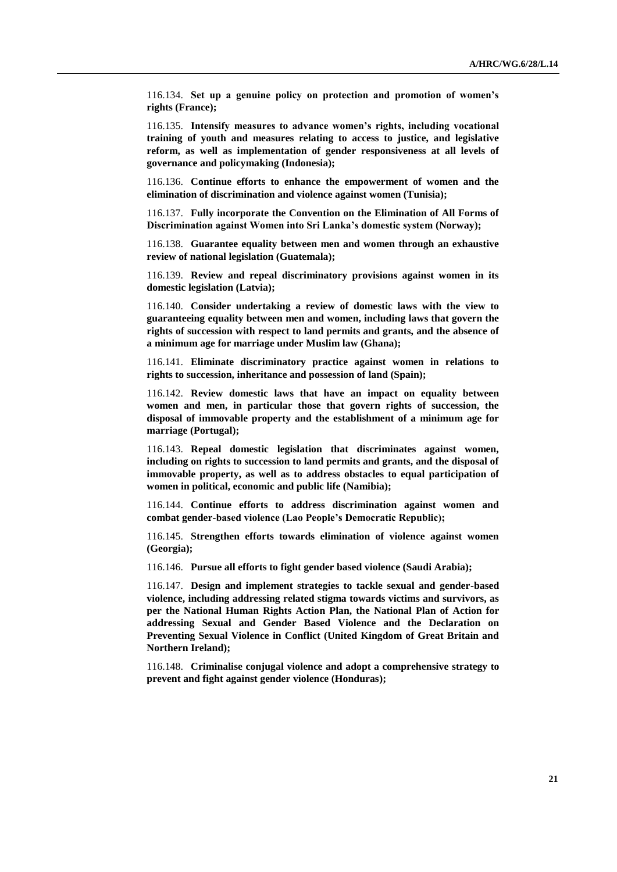116.134. **Set up a genuine policy on protection and promotion of women's rights (France);**

116.135. **Intensify measures to advance women's rights, including vocational training of youth and measures relating to access to justice, and legislative reform, as well as implementation of gender responsiveness at all levels of governance and policymaking (Indonesia);**

116.136. **Continue efforts to enhance the empowerment of women and the elimination of discrimination and violence against women (Tunisia);**

116.137. **Fully incorporate the Convention on the Elimination of All Forms of Discrimination against Women into Sri Lanka's domestic system (Norway);**

116.138. **Guarantee equality between men and women through an exhaustive review of national legislation (Guatemala);**

116.139. **Review and repeal discriminatory provisions against women in its domestic legislation (Latvia);**

116.140. **Consider undertaking a review of domestic laws with the view to guaranteeing equality between men and women, including laws that govern the rights of succession with respect to land permits and grants, and the absence of a minimum age for marriage under Muslim law (Ghana);**

116.141. **Eliminate discriminatory practice against women in relations to rights to succession, inheritance and possession of land (Spain);**

116.142. **Review domestic laws that have an impact on equality between women and men, in particular those that govern rights of succession, the disposal of immovable property and the establishment of a minimum age for marriage (Portugal);**

116.143. **Repeal domestic legislation that discriminates against women, including on rights to succession to land permits and grants, and the disposal of immovable property, as well as to address obstacles to equal participation of women in political, economic and public life (Namibia);**

116.144. **Continue efforts to address discrimination against women and combat gender-based violence (Lao People's Democratic Republic);**

116.145. **Strengthen efforts towards elimination of violence against women (Georgia);**

116.146. **Pursue all efforts to fight gender based violence (Saudi Arabia);**

116.147. **Design and implement strategies to tackle sexual and gender-based violence, including addressing related stigma towards victims and survivors, as per the National Human Rights Action Plan, the National Plan of Action for addressing Sexual and Gender Based Violence and the Declaration on Preventing Sexual Violence in Conflict (United Kingdom of Great Britain and Northern Ireland);**

116.148. **Criminalise conjugal violence and adopt a comprehensive strategy to prevent and fight against gender violence (Honduras);**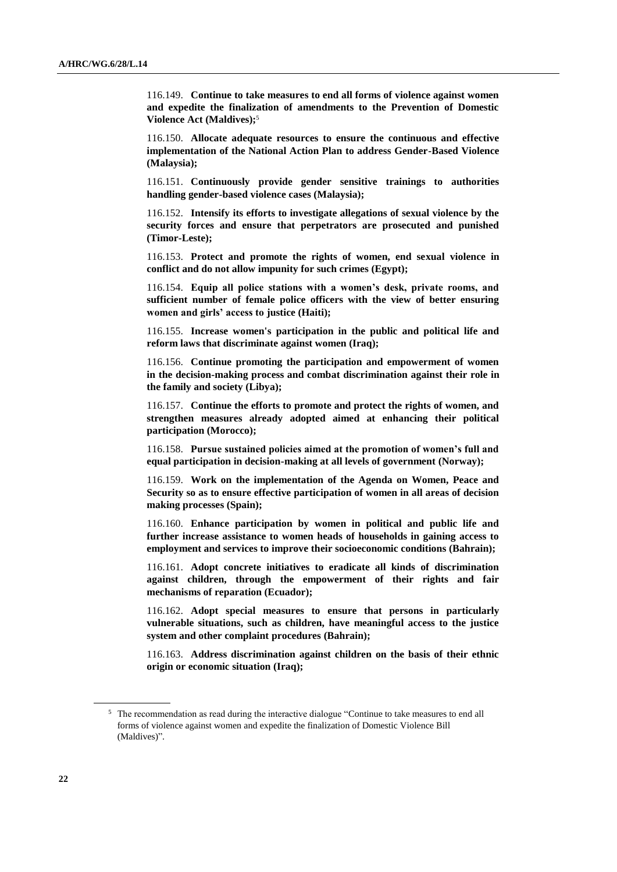116.149. **Continue to take measures to end all forms of violence against women and expedite the finalization of amendments to the Prevention of Domestic Violence Act (Maldives);**<sup>5</sup>

116.150. **Allocate adequate resources to ensure the continuous and effective implementation of the National Action Plan to address Gender-Based Violence (Malaysia);**

116.151. **Continuously provide gender sensitive trainings to authorities handling gender-based violence cases (Malaysia);**

116.152. **Intensify its efforts to investigate allegations of sexual violence by the security forces and ensure that perpetrators are prosecuted and punished (Timor-Leste);**

116.153. **Protect and promote the rights of women, end sexual violence in conflict and do not allow impunity for such crimes (Egypt);**

116.154. **Equip all police stations with a women's desk, private rooms, and sufficient number of female police officers with the view of better ensuring women and girls' access to justice (Haiti);**

116.155. **Increase women's participation in the public and political life and reform laws that discriminate against women (Iraq);**

116.156. **Continue promoting the participation and empowerment of women in the decision-making process and combat discrimination against their role in the family and society (Libya);**

116.157. **Continue the efforts to promote and protect the rights of women, and strengthen measures already adopted aimed at enhancing their political participation (Morocco);**

116.158. **Pursue sustained policies aimed at the promotion of women's full and equal participation in decision-making at all levels of government (Norway);**

116.159. **Work on the implementation of the Agenda on Women, Peace and Security so as to ensure effective participation of women in all areas of decision making processes (Spain);**

116.160. **Enhance participation by women in political and public life and further increase assistance to women heads of households in gaining access to employment and services to improve their socioeconomic conditions (Bahrain);**

116.161. **Adopt concrete initiatives to eradicate all kinds of discrimination against children, through the empowerment of their rights and fair mechanisms of reparation (Ecuador);**

116.162. **Adopt special measures to ensure that persons in particularly vulnerable situations, such as children, have meaningful access to the justice system and other complaint procedures (Bahrain);**

116.163. **Address discrimination against children on the basis of their ethnic origin or economic situation (Iraq);**

<sup>&</sup>lt;sup>5</sup> The recommendation as read during the interactive dialogue "Continue to take measures to end all forms of violence against women and expedite the finalization of Domestic Violence Bill (Maldives)".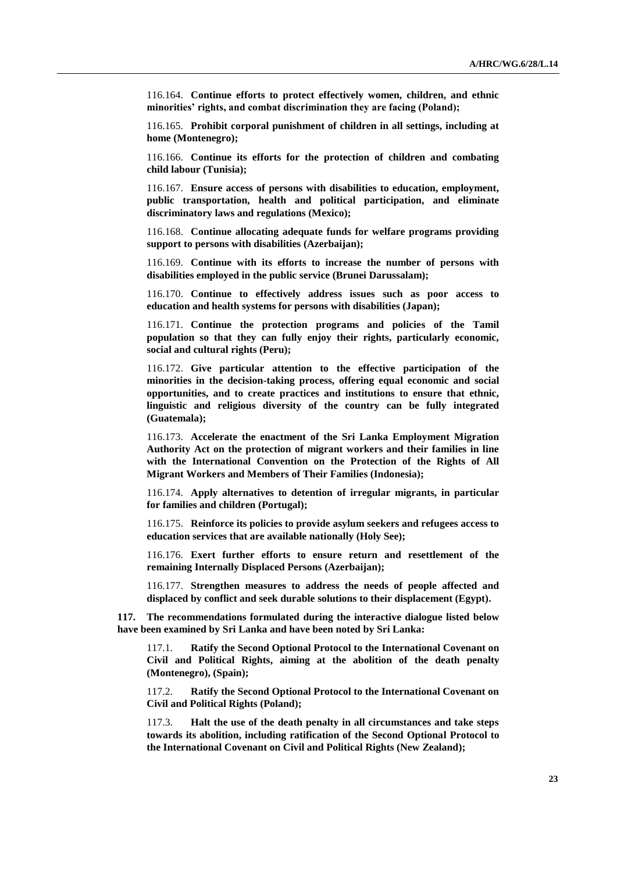116.164. **Continue efforts to protect effectively women, children, and ethnic minorities' rights, and combat discrimination they are facing (Poland);**

116.165. **Prohibit corporal punishment of children in all settings, including at home (Montenegro);**

116.166. **Continue its efforts for the protection of children and combating child labour (Tunisia);**

116.167. **Ensure access of persons with disabilities to education, employment, public transportation, health and political participation, and eliminate discriminatory laws and regulations (Mexico);**

116.168. **Continue allocating adequate funds for welfare programs providing support to persons with disabilities (Azerbaijan);**

116.169. **Continue with its efforts to increase the number of persons with disabilities employed in the public service (Brunei Darussalam);**

116.170. **Continue to effectively address issues such as poor access to education and health systems for persons with disabilities (Japan);**

116.171. **Continue the protection programs and policies of the Tamil population so that they can fully enjoy their rights, particularly economic, social and cultural rights (Peru);**

116.172. **Give particular attention to the effective participation of the minorities in the decision-taking process, offering equal economic and social opportunities, and to create practices and institutions to ensure that ethnic, linguistic and religious diversity of the country can be fully integrated (Guatemala);**

116.173. **Accelerate the enactment of the Sri Lanka Employment Migration Authority Act on the protection of migrant workers and their families in line with the International Convention on the Protection of the Rights of All Migrant Workers and Members of Their Families (Indonesia);**

116.174. **Apply alternatives to detention of irregular migrants, in particular for families and children (Portugal);**

116.175. **Reinforce its policies to provide asylum seekers and refugees access to education services that are available nationally (Holy See);**

116.176. **Exert further efforts to ensure return and resettlement of the remaining Internally Displaced Persons (Azerbaijan);**

116.177. **Strengthen measures to address the needs of people affected and displaced by conflict and seek durable solutions to their displacement (Egypt).**

**117. The recommendations formulated during the interactive dialogue listed below have been examined by Sri Lanka and have been noted by Sri Lanka:**

Ratify the Second Optional Protocol to the International Covenant on **[Civil and Political Rights,](http://www.ohchr.org/EN/ProfessionalInterest/Pages/CCPR.aspx) aiming at the abolition of the death penalty (Montenegro), (Spain);**

117.2. **Ratify the Second Optional Protocol to the International Covenant on Civil and Political Rights (Poland);**

117.3. **Halt the use of the death penalty in all circumstances and take steps towards its abolition, including ratification of the Second Optional Protocol to the International Covenant on Civil and Political Rights (New Zealand);**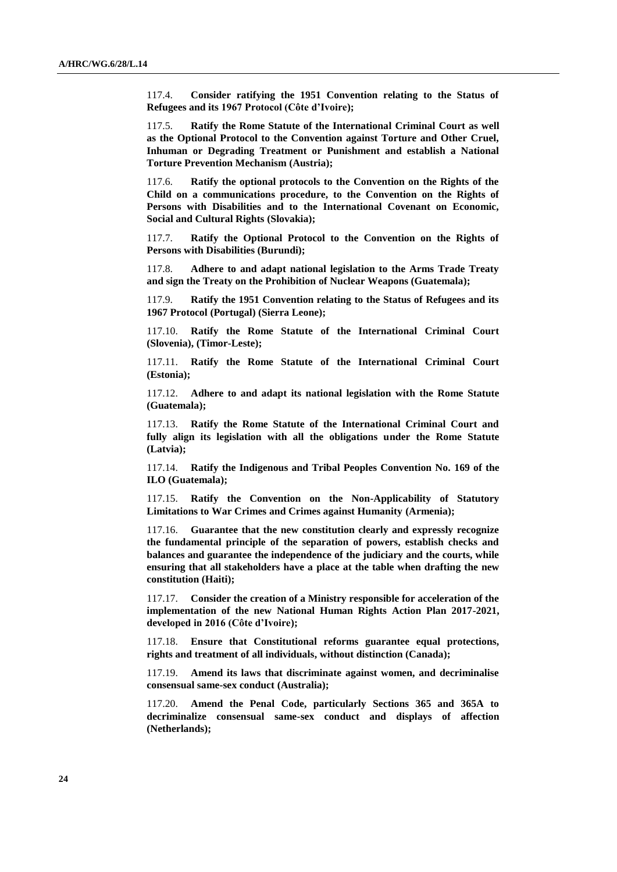117.4. **Consider ratifying the 1951 Convention relating to the Status of Refugees and its 1967 Protocol (Côte d'Ivoire);**

117.5. **Ratify the Rome Statute of the International Criminal Court as well as the Optional Protocol to the Convention against Torture and Other Cruel, Inhuman or Degrading Treatment or Punishment and establish a National Torture Prevention Mechanism (Austria);**

117.6. **Ratify the optional protocols to the Convention on the Rights of the Child on a communications procedure, to the Convention on the Rights of Persons with Disabilities and to the International Covenant on Economic, Social and Cultural Rights (Slovakia);**

117.7. **Ratify the Optional Protocol to the Convention on the Rights of Persons with Disabilities (Burundi);**

117.8. **Adhere to and adapt national legislation to the Arms Trade Treaty and sign the Treaty on the Prohibition of Nuclear Weapons (Guatemala);**

117.9. **Ratify the 1951 Convention relating to the Status of Refugees and its 1967 Protocol (Portugal) (Sierra Leone);**

117.10. **Ratify the Rome Statute of the International Criminal Court (Slovenia), (Timor-Leste);**

117.11. **Ratify the Rome Statute of the International Criminal Court (Estonia);**

117.12. **Adhere to and adapt its national legislation with the Rome Statute (Guatemala);**

117.13. **Ratify the Rome Statute of the International Criminal Court and fully align its legislation with all the obligations under the Rome Statute (Latvia);**

117.14. **Ratify the Indigenous and Tribal Peoples Convention No. 169 of the ILO (Guatemala);**

117.15. **Ratify the Convention on the Non-Applicability of Statutory Limitations to War Crimes and Crimes against Humanity (Armenia);**

117.16. **Guarantee that the new constitution clearly and expressly recognize the fundamental principle of the separation of powers, establish checks and balances and guarantee the independence of the judiciary and the courts, while ensuring that all stakeholders have a place at the table when drafting the new constitution (Haiti);**

117.17. **Consider the creation of a Ministry responsible for acceleration of the implementation of the new National Human Rights Action Plan 2017-2021, developed in 2016 (Côte d'Ivoire);**

117.18. **Ensure that Constitutional reforms guarantee equal protections, rights and treatment of all individuals, without distinction (Canada);**

117.19. **Amend its laws that discriminate against women, and decriminalise consensual same-sex conduct (Australia);**

117.20. **Amend the Penal Code, particularly Sections 365 and 365A to decriminalize consensual same-sex conduct and displays of affection (Netherlands);**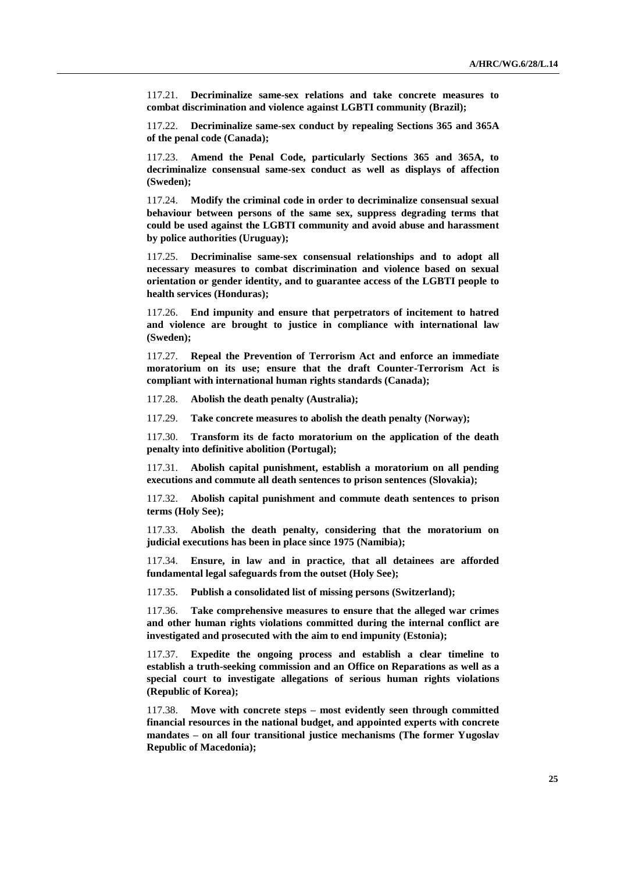117.21. **Decriminalize same-sex relations and take concrete measures to combat discrimination and violence against LGBTI community (Brazil);**

117.22. **Decriminalize same-sex conduct by repealing Sections 365 and 365A of the penal code (Canada);**

117.23. **Amend the Penal Code, particularly Sections 365 and 365A, to decriminalize consensual same-sex conduct as well as displays of affection (Sweden);**

117.24. **Modify the criminal code in order to decriminalize consensual sexual behaviour between persons of the same sex, suppress degrading terms that could be used against the LGBTI community and avoid abuse and harassment by police authorities (Uruguay);**

117.25. **Decriminalise same-sex consensual relationships and to adopt all necessary measures to combat discrimination and violence based on sexual orientation or gender identity, and to guarantee access of the LGBTI people to health services (Honduras);**

117.26. **End impunity and ensure that perpetrators of incitement to hatred and violence are brought to justice in compliance with international law (Sweden);**

117.27. **Repeal the Prevention of Terrorism Act and enforce an immediate moratorium on its use; ensure that the draft Counter-Terrorism Act is compliant with international human rights standards (Canada);**

117.28. **Abolish the death penalty (Australia);**

117.29. **Take concrete measures to abolish the death penalty (Norway);**

117.30. **Transform its de facto moratorium on the application of the death penalty into definitive abolition (Portugal);**

117.31. **Abolish capital punishment, establish a moratorium on all pending executions and commute all death sentences to prison sentences (Slovakia);**

117.32. **Abolish capital punishment and commute death sentences to prison terms (Holy See);**

117.33. **Abolish the death penalty, considering that the moratorium on judicial executions has been in place since 1975 (Namibia);**

117.34. **Ensure, in law and in practice, that all detainees are afforded fundamental legal safeguards from the outset (Holy See);**

117.35. **Publish a consolidated list of missing persons (Switzerland);**

117.36. **Take comprehensive measures to ensure that the alleged war crimes and other human rights violations committed during the internal conflict are investigated and prosecuted with the aim to end impunity (Estonia);**

117.37. **Expedite the ongoing process and establish a clear timeline to establish a truth-seeking commission and an Office on Reparations as well as a special court to investigate allegations of serious human rights violations (Republic of Korea);**

117.38. **Move with concrete steps – most evidently seen through committed financial resources in the national budget, and appointed experts with concrete mandates – on all four transitional justice mechanisms (The former Yugoslav Republic of Macedonia);**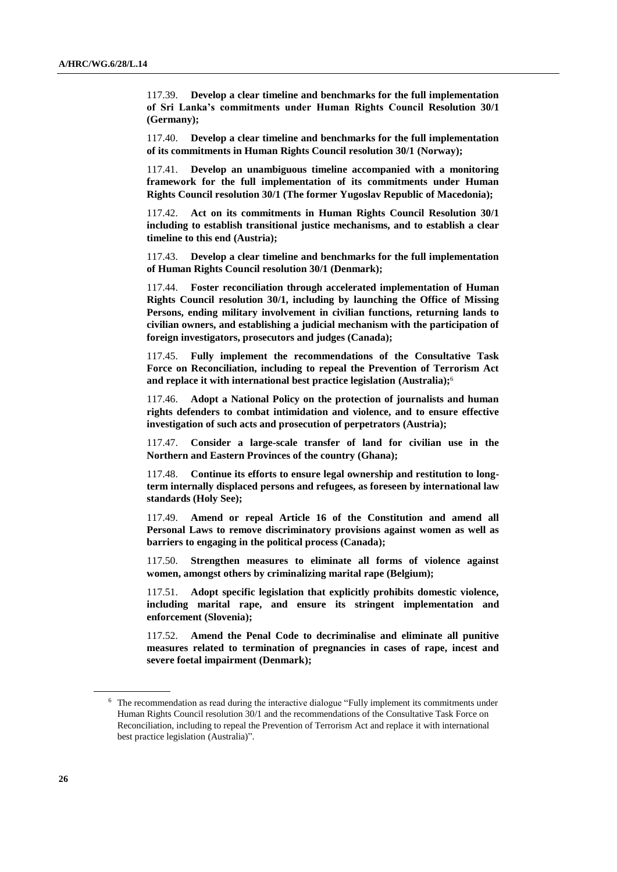117.39. **Develop a clear timeline and benchmarks for the full implementation of Sri Lanka's commitments under Human Rights Council Resolution 30/1 (Germany);**

117.40. **Develop a clear timeline and benchmarks for the full implementation of its commitments in Human Rights Council resolution 30/1 (Norway);**

117.41. **Develop an unambiguous timeline accompanied with a monitoring framework for the full implementation of its commitments under Human Rights Council resolution 30/1 (The former Yugoslav Republic of Macedonia);**

117.42. **Act on its commitments in Human Rights Council Resolution 30/1 including to establish transitional justice mechanisms, and to establish a clear timeline to this end (Austria);**

117.43. **Develop a clear timeline and benchmarks for the full implementation of Human Rights Council resolution 30/1 (Denmark);**

117.44. **Foster reconciliation through accelerated implementation of Human Rights Council resolution 30/1, including by launching the Office of Missing Persons, ending military involvement in civilian functions, returning lands to civilian owners, and establishing a judicial mechanism with the participation of foreign investigators, prosecutors and judges (Canada);**

117.45. **Fully implement the recommendations of the Consultative Task Force on Reconciliation, including to repeal the Prevention of Terrorism Act and replace it with international best practice legislation (Australia);**<sup>6</sup>

117.46. **Adopt a National Policy on the protection of journalists and human rights defenders to combat intimidation and violence, and to ensure effective investigation of such acts and prosecution of perpetrators (Austria);**

117.47. **Consider a large-scale transfer of land for civilian use in the Northern and Eastern Provinces of the country (Ghana);**

117.48. **Continue its efforts to ensure legal ownership and restitution to longterm internally displaced persons and refugees, as foreseen by international law standards (Holy See);**

117.49. **Amend or repeal Article 16 of the Constitution and amend all Personal Laws to remove discriminatory provisions against women as well as barriers to engaging in the political process (Canada);**

117.50. **Strengthen measures to eliminate all forms of violence against women, amongst others by criminalizing marital rape (Belgium);**

117.51. **Adopt specific legislation that explicitly prohibits domestic violence, including marital rape, and ensure its stringent implementation and enforcement (Slovenia);**

117.52. **Amend the Penal Code to decriminalise and eliminate all punitive measures related to termination of pregnancies in cases of rape, incest and severe foetal impairment (Denmark);**

<sup>6</sup> The recommendation as read during the interactive dialogue "Fully implement its commitments under Human Rights Council resolution 30/1 and the recommendations of the Consultative Task Force on Reconciliation, including to repeal the Prevention of Terrorism Act and replace it with international best practice legislation (Australia)".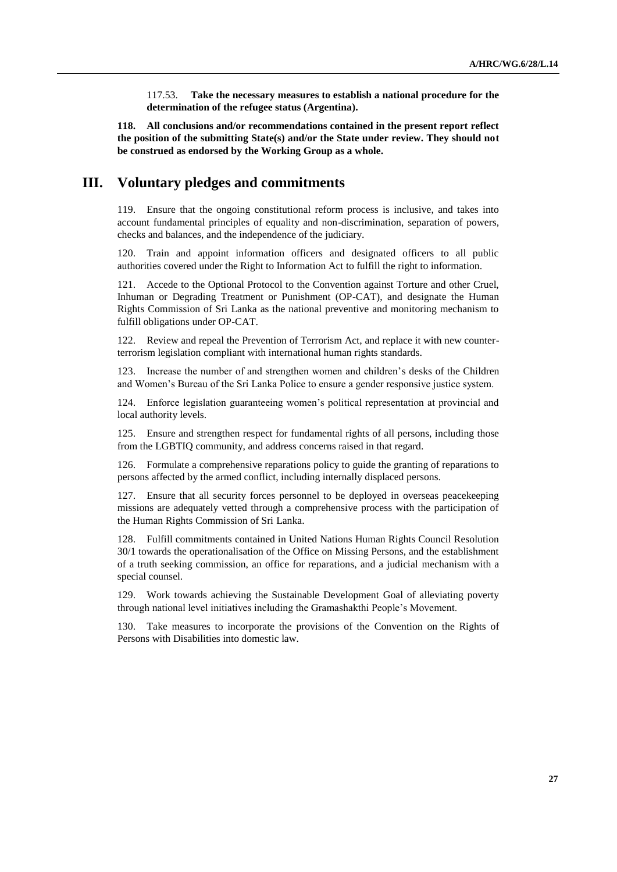117.53. **Take the necessary measures to establish a national procedure for the determination of the refugee status (Argentina).**

**118. All conclusions and/or recommendations contained in the present report reflect the position of the submitting State(s) and/or the State under review. They should not be construed as endorsed by the Working Group as a whole.**

## **III. Voluntary pledges and commitments**

119. Ensure that the ongoing constitutional reform process is inclusive, and takes into account fundamental principles of equality and non-discrimination, separation of powers, checks and balances, and the independence of the judiciary.

120. Train and appoint information officers and designated officers to all public authorities covered under the Right to Information Act to fulfill the right to information.

121. Accede to the Optional Protocol to the Convention against Torture and other Cruel, Inhuman or Degrading Treatment or Punishment (OP-CAT), and designate the Human Rights Commission of Sri Lanka as the national preventive and monitoring mechanism to fulfill obligations under OP-CAT.

122. Review and repeal the Prevention of Terrorism Act, and replace it with new counterterrorism legislation compliant with international human rights standards.

Increase the number of and strengthen women and children's desks of the Children and Women's Bureau of the Sri Lanka Police to ensure a gender responsive justice system.

124. Enforce legislation guaranteeing women's political representation at provincial and local authority levels.

125. Ensure and strengthen respect for fundamental rights of all persons, including those from the LGBTIQ community, and address concerns raised in that regard.

126. Formulate a comprehensive reparations policy to guide the granting of reparations to persons affected by the armed conflict, including internally displaced persons.

127. Ensure that all security forces personnel to be deployed in overseas peacekeeping missions are adequately vetted through a comprehensive process with the participation of the Human Rights Commission of Sri Lanka.

128. Fulfill commitments contained in United Nations Human Rights Council Resolution 30/1 towards the operationalisation of the Office on Missing Persons, and the establishment of a truth seeking commission, an office for reparations, and a judicial mechanism with a special counsel.

129. Work towards achieving the Sustainable Development Goal of alleviating poverty through national level initiatives including the Gramashakthi People's Movement.

130. Take measures to incorporate the provisions of the Convention on the Rights of Persons with Disabilities into domestic law.